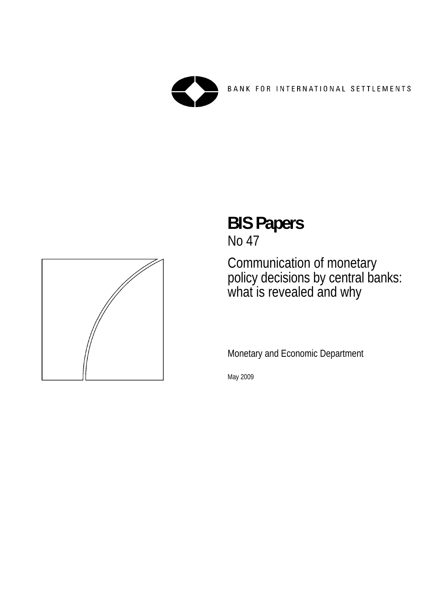

BANK FOR INTERNATIONAL SETTLEMENTS



# **BIS Papers**

No 47

Communication of monetary policy decisions by central banks: what is revealed and why

Monetary and Economic Department

May 2009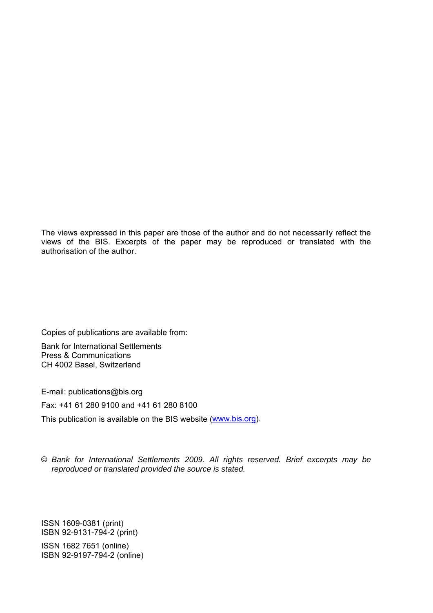The views expressed in this paper are those of the author and do not necessarily reflect the views of the BIS. Excerpts of the paper may be reproduced or translated with the authorisation of the author.

Copies of publications are available from: Bank for International Settlements Press & Communications CH 4002 Basel, Switzerland

E-mail: publications@bis.org

Fax: +41 61 280 9100 and +41 61 280 8100

This publication is available on the BIS website [\(www.bis.org\)](http://www.bis.org/).

© *Bank for International Settlements 2009. All rights reserved. Brief excerpts may be reproduced or translated provided the source is stated.*

ISSN 1609-0381 (print) ISBN 92-9131-794-2 (print)

ISSN 1682 7651 (online) ISBN 92-9197-794-2 (online)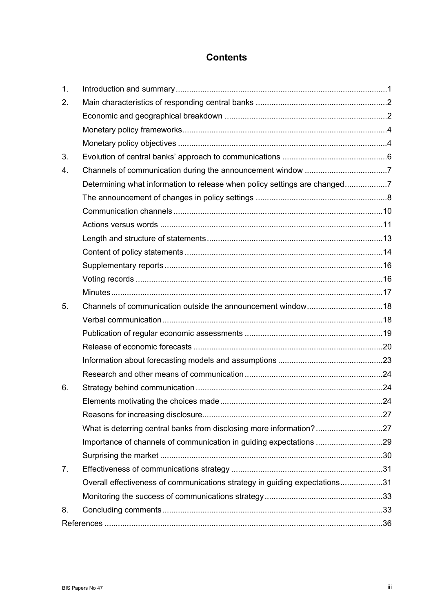## **Contents**

| 1. |                                                                            |  |  |  |  |  |  |  |  |
|----|----------------------------------------------------------------------------|--|--|--|--|--|--|--|--|
| 2. |                                                                            |  |  |  |  |  |  |  |  |
|    |                                                                            |  |  |  |  |  |  |  |  |
|    |                                                                            |  |  |  |  |  |  |  |  |
|    |                                                                            |  |  |  |  |  |  |  |  |
| 3. |                                                                            |  |  |  |  |  |  |  |  |
| 4. |                                                                            |  |  |  |  |  |  |  |  |
|    | Determining what information to release when policy settings are changed7  |  |  |  |  |  |  |  |  |
|    |                                                                            |  |  |  |  |  |  |  |  |
|    |                                                                            |  |  |  |  |  |  |  |  |
|    |                                                                            |  |  |  |  |  |  |  |  |
|    |                                                                            |  |  |  |  |  |  |  |  |
|    |                                                                            |  |  |  |  |  |  |  |  |
|    |                                                                            |  |  |  |  |  |  |  |  |
|    |                                                                            |  |  |  |  |  |  |  |  |
|    |                                                                            |  |  |  |  |  |  |  |  |
| 5. |                                                                            |  |  |  |  |  |  |  |  |
|    |                                                                            |  |  |  |  |  |  |  |  |
|    |                                                                            |  |  |  |  |  |  |  |  |
|    |                                                                            |  |  |  |  |  |  |  |  |
|    |                                                                            |  |  |  |  |  |  |  |  |
|    |                                                                            |  |  |  |  |  |  |  |  |
| 6. |                                                                            |  |  |  |  |  |  |  |  |
|    |                                                                            |  |  |  |  |  |  |  |  |
|    |                                                                            |  |  |  |  |  |  |  |  |
|    | What is deterring central banks from disclosing more information?27        |  |  |  |  |  |  |  |  |
|    | Importance of channels of communication in guiding expectations 29         |  |  |  |  |  |  |  |  |
|    |                                                                            |  |  |  |  |  |  |  |  |
| 7. |                                                                            |  |  |  |  |  |  |  |  |
|    | Overall effectiveness of communications strategy in guiding expectations31 |  |  |  |  |  |  |  |  |
|    |                                                                            |  |  |  |  |  |  |  |  |
| 8. |                                                                            |  |  |  |  |  |  |  |  |
|    |                                                                            |  |  |  |  |  |  |  |  |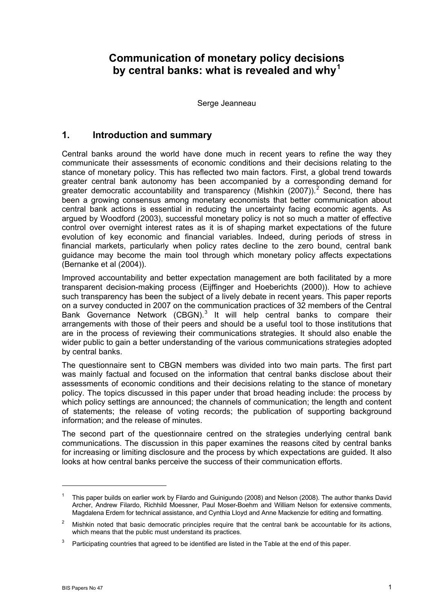# <span id="page-4-0"></span>**Communication of monetary policy decisions by central banks: what is revealed and why[1](#page-4-1)**

Serge Jeanneau

## **1. Introduction and summary**

Central banks around the world have done much in recent years to refine the way they communicate their assessments of economic conditions and their decisions relating to the stance of monetary policy. This has reflected two main factors. First, a global trend towards greater central bank autonomy has been accompanied by a corresponding demand for greater democratic accountability and transparency (Mishkin ([2](#page-4-2)007)).<sup>2</sup> Second, there has been a growing consensus among monetary economists that better communication about central bank actions is essential in reducing the uncertainty facing economic agents. As argued by Woodford (2003), successful monetary policy is not so much a matter of effective control over overnight interest rates as it is of shaping market expectations of the future evolution of key economic and financial variables. Indeed, during periods of stress in financial markets, particularly when policy rates decline to the zero bound, central bank guidance may become the main tool through which monetary policy affects expectations (Bernanke et al (2004)).

Improved accountability and better expectation management are both facilitated by a more transparent decision-making process (Eijffinger and Hoeberichts (2000)). How to achieve such transparency has been the subject of a lively debate in recent years. This paper reports on a survey conducted in 2007 on the communication practices of 32 members of the Central Bank Governance Network (CBGN). $3$  It will help central banks to compare their arrangements with those of their peers and should be a useful tool to those institutions that are in the process of reviewing their communications strategies. It should also enable the wider public to gain a better understanding of the various communications strategies adopted by central banks.

The questionnaire sent to CBGN members was divided into two main parts. The first part was mainly factual and focused on the information that central banks disclose about their assessments of economic conditions and their decisions relating to the stance of monetary policy. The topics discussed in this paper under that broad heading include: the process by which policy settings are announced; the channels of communication; the length and content of statements; the release of voting records; the publication of supporting background information; and the release of minutes.

The second part of the questionnaire centred on the strategies underlying central bank communications. The discussion in this paper examines the reasons cited by central banks for increasing or limiting disclosure and the process by which expectations are guided. It also looks at how central banks perceive the success of their communication efforts.

<span id="page-4-1"></span><sup>1</sup> This paper builds on earlier work by Filardo and Guinigundo (2008) and Nelson (2008). The author thanks David Archer, Andrew Filardo, Richhild Moessner, Paul Moser-Boehm and William Nelson for extensive comments, Magdalena Erdem for technical assistance, and Cynthia Lloyd and Anne Mackenzie for editing and formatting.

<span id="page-4-2"></span><sup>2</sup> Mishkin noted that basic democratic principles require that the central bank be accountable for its actions, which means that the public must understand its practices.

<span id="page-4-3"></span><sup>3</sup> Participating countries that agreed to be identified are listed in the Table at the end of this paper.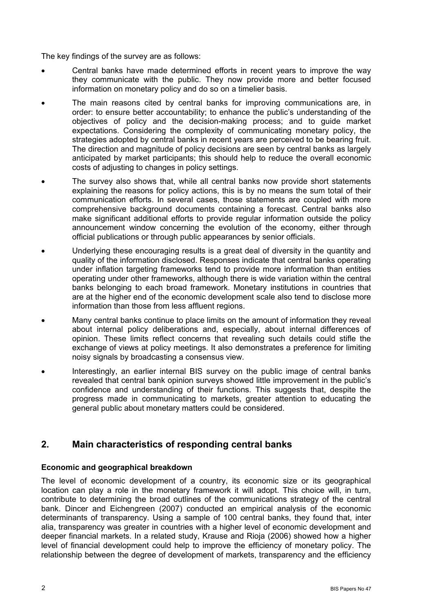<span id="page-5-0"></span>The key findings of the survey are as follows:

- Central banks have made determined efforts in recent years to improve the way they communicate with the public. They now provide more and better focused information on monetary policy and do so on a timelier basis.
- The main reasons cited by central banks for improving communications are, in order: to ensure better accountability; to enhance the public's understanding of the objectives of policy and the decision-making process; and to guide market expectations. Considering the complexity of communicating monetary policy, the strategies adopted by central banks in recent years are perceived to be bearing fruit. The direction and magnitude of policy decisions are seen by central banks as largely anticipated by market participants; this should help to reduce the overall economic costs of adjusting to changes in policy settings.
- The survey also shows that, while all central banks now provide short statements explaining the reasons for policy actions, this is by no means the sum total of their communication efforts. In several cases, those statements are coupled with more comprehensive background documents containing a forecast. Central banks also make significant additional efforts to provide regular information outside the policy announcement window concerning the evolution of the economy, either through official publications or through public appearances by senior officials.
- Underlying these encouraging results is a great deal of diversity in the quantity and quality of the information disclosed. Responses indicate that central banks operating under inflation targeting frameworks tend to provide more information than entities operating under other frameworks, although there is wide variation within the central banks belonging to each broad framework. Monetary institutions in countries that are at the higher end of the economic development scale also tend to disclose more information than those from less affluent regions.
- Many central banks continue to place limits on the amount of information they reveal about internal policy deliberations and, especially, about internal differences of opinion. These limits reflect concerns that revealing such details could stifle the exchange of views at policy meetings. It also demonstrates a preference for limiting noisy signals by broadcasting a consensus view.
- Interestingly, an earlier internal BIS survey on the public image of central banks revealed that central bank opinion surveys showed little improvement in the public's confidence and understanding of their functions. This suggests that, despite the progress made in communicating to markets, greater attention to educating the general public about monetary matters could be considered.

## **2. Main characteristics of responding central banks**

#### **Economic and geographical breakdown**

The level of economic development of a country, its economic size or its geographical location can play a role in the monetary framework it will adopt. This choice will, in turn, contribute to determining the broad outlines of the communications strategy of the central bank. Dincer and Eichengreen (2007) conducted an empirical analysis of the economic determinants of transparency. Using a sample of 100 central banks, they found that, inter alia, transparency was greater in countries with a higher level of economic development and deeper financial markets. In a related study, Krause and Rioja (2006) showed how a higher level of financial development could help to improve the efficiency of monetary policy. The relationship between the degree of development of markets, transparency and the efficiency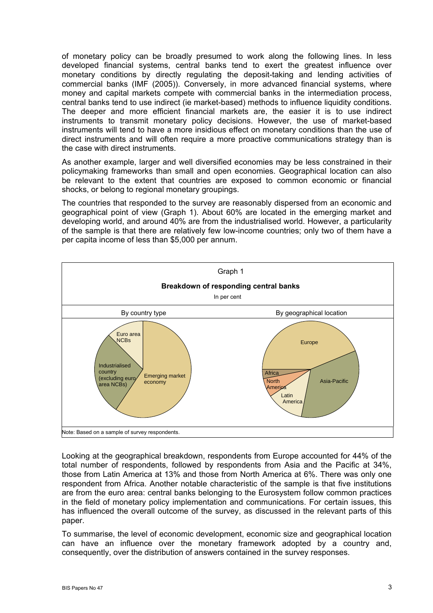of monetary policy can be broadly presumed to work along the following lines. In less developed financial systems, central banks tend to exert the greatest influence over monetary conditions by directly regulating the deposit-taking and lending activities of commercial banks (IMF (2005)). Conversely, in more advanced financial systems, where money and capital markets compete with commercial banks in the intermediation process, central banks tend to use indirect (ie market-based) methods to influence liquidity conditions. The deeper and more efficient financial markets are, the easier it is to use indirect instruments to transmit monetary policy decisions. However, the use of market-based instruments will tend to have a more insidious effect on monetary conditions than the use of direct instruments and will often require a more proactive communications strategy than is the case with direct instruments.

As another example, larger and well diversified economies may be less constrained in their policymaking frameworks than small and open economies. Geographical location can also be relevant to the extent that countries are exposed to common economic or financial shocks, or belong to regional monetary groupings.

The countries that responded to the survey are reasonably dispersed from an economic and geographical point of view (Graph 1). About 60% are located in the emerging market and developing world, and around 40% are from the industrialised world. However, a particularity of the sample is that there are relatively few low-income countries; only two of them have a per capita income of less than \$5,000 per annum.



Looking at the geographical breakdown, respondents from Europe accounted for 44% of the total number of respondents, followed by respondents from Asia and the Pacific at 34%, those from Latin America at 13% and those from North America at 6%. There was only one respondent from Africa. Another notable characteristic of the sample is that five institutions are from the euro area: central banks belonging to the Eurosystem follow common practices in the field of monetary policy implementation and communications. For certain issues, this has influenced the overall outcome of the survey, as discussed in the relevant parts of this paper.

To summarise, the level of economic development, economic size and geographical location can have an influence over the monetary framework adopted by a country and, consequently, over the distribution of answers contained in the survey responses.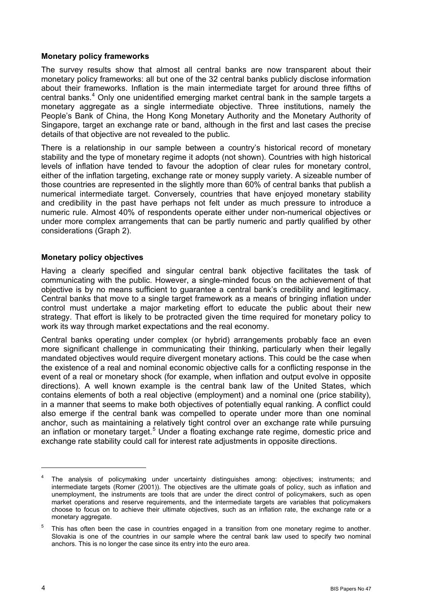#### <span id="page-7-0"></span>**Monetary policy frameworks**

The survey results show that almost all central banks are now transparent about their monetary policy frameworks: all but one of the 32 central banks publicly disclose information about their frameworks. Inflation is the main intermediate target for around three fifths of central banks.<sup>[4](#page-7-0)</sup> Only one unidentified emerging market central bank in the sample targets a monetary aggregate as a single intermediate objective. Three institutions, namely the People's Bank of China, the Hong Kong Monetary Authority and the Monetary Authority of Singapore, target an exchange rate or band, although in the first and last cases the precise details of that objective are not revealed to the public.

There is a relationship in our sample between a country's historical record of monetary stability and the type of monetary regime it adopts (not shown). Countries with high historical levels of inflation have tended to favour the adoption of clear rules for monetary control, either of the inflation targeting, exchange rate or money supply variety. A sizeable number of those countries are represented in the slightly more than 60% of central banks that publish a numerical intermediate target. Conversely, countries that have enjoyed monetary stability and credibility in the past have perhaps not felt under as much pressure to introduce a numeric rule. Almost 40% of respondents operate either under non-numerical objectives or under more complex arrangements that can be partly numeric and partly qualified by other considerations (Graph 2).

#### **Monetary policy objectives**

Having a clearly specified and singular central bank objective facilitates the task of communicating with the public. However, a single-minded focus on the achievement of that objective is by no means sufficient to guarantee a central bank's credibility and legitimacy. Central banks that move to a single target framework as a means of bringing inflation under control must undertake a major marketing effort to educate the public about their new strategy. That effort is likely to be protracted given the time required for monetary policy to work its way through market expectations and the real economy.

Central banks operating under complex (or hybrid) arrangements probably face an even more significant challenge in communicating their thinking, particularly when their legally mandated objectives would require divergent monetary actions. This could be the case when the existence of a real and nominal economic objective calls for a conflicting response in the event of a real or monetary shock (for example, when inflation and output evolve in opposite directions). A well known example is the central bank law of the United States, which contains elements of both a real objective (employment) and a nominal one (price stability), in a manner that seems to make both objectives of potentially equal ranking. A conflict could also emerge if the central bank was compelled to operate under more than one nominal anchor, such as maintaining a relatively tight control over an exchange rate while pursuing an inflation or monetary target.<sup>[5](#page-7-0)</sup> Under a floating exchange rate regime, domestic price and exchange rate stability could call for interest rate adjustments in opposite directions.

<sup>4</sup> The analysis of policymaking under uncertainty distinguishes among: objectives; instruments; and intermediate targets (Romer (2001)). The objectives are the ultimate goals of policy, such as inflation and unemployment, the instruments are tools that are under the direct control of policymakers, such as open market operations and reserve requirements, and the intermediate targets are variables that policymakers choose to focus on to achieve their ultimate objectives, such as an inflation rate, the exchange rate or a monetary aggregate.

<sup>5</sup> This has often been the case in countries engaged in a transition from one monetary regime to another. Slovakia is one of the countries in our sample where the central bank law used to specify two nominal anchors. This is no longer the case since its entry into the euro area.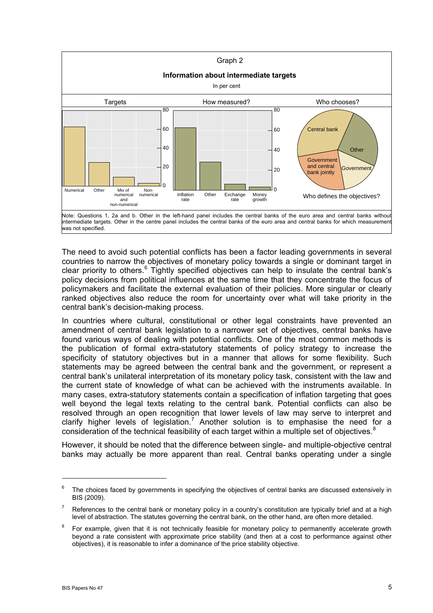<span id="page-8-0"></span>

The need to avoid such potential conflicts has been a factor leading governments in several countries to narrow the objectives of monetary policy towards a single or dominant target in clear priority to others.<sup>[6](#page-8-0)</sup> Tightly specified objectives can help to insulate the central bank's policy decisions from political influences at the same time that they concentrate the focus of policymakers and facilitate the external evaluation of their policies. More singular or clearly ranked objectives also reduce the room for uncertainty over what will take priority in the central bank's decision-making process.

In countries where cultural, constitutional or other legal constraints have prevented an amendment of central bank legislation to a narrower set of objectives, central banks have found various ways of dealing with potential conflicts. One of the most common methods is the publication of formal extra-statutory statements of policy strategy to increase the specificity of statutory objectives but in a manner that allows for some flexibility. Such statements may be agreed between the central bank and the government, or represent a central bank's unilateral interpretation of its monetary policy task, consistent with the law and the current state of knowledge of what can be achieved with the instruments available. In many cases, extra-statutory statements contain a specification of inflation targeting that goes well beyond the legal texts relating to the central bank. Potential conflicts can also be resolved through an open recognition that lower levels of law may serve to interpret and clarify higher levels of legislation.<sup>[7](#page-8-0)</sup> Another solution is to emphasise the need for a consideration of the technical feasibility of each target within a multiple set of objectives. $8$ 

However, it should be noted that the difference between single- and multiple-objective central banks may actually be more apparent than real. Central banks operating under a single

 $\overline{a}$ 

<sup>6</sup> The choices faced by governments in specifying the objectives of central banks are discussed extensively in BIS (2009).

<sup>7</sup> References to the central bank or monetary policy in a country's constitution are typically brief and at a high level of abstraction. The statutes governing the central bank, on the other hand, are often more detailed.

<sup>8</sup> For example, given that it is not technically feasible for monetary policy to permanently accelerate growth beyond a rate consistent with approximate price stability (and then at a cost to performance against other objectives), it is reasonable to infer a dominance of the price stability objective.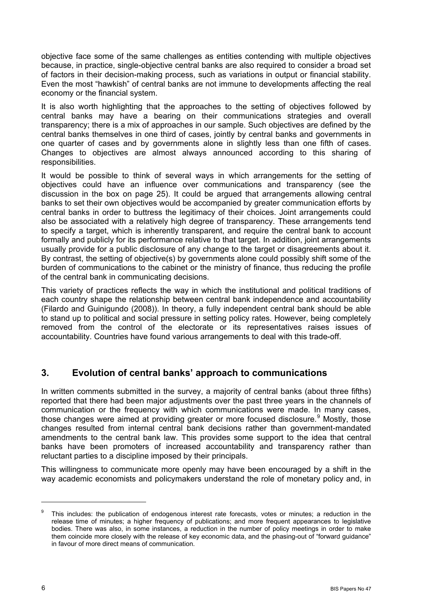<span id="page-9-0"></span>objective face some of the same challenges as entities contending with multiple objectives because, in practice, single-objective central banks are also required to consider a broad set of factors in their decision-making process, such as variations in output or financial stability. Even the most "hawkish" of central banks are not immune to developments affecting the real economy or the financial system.

It is also worth highlighting that the approaches to the setting of objectives followed by central banks may have a bearing on their communications strategies and overall transparency; there is a mix of approaches in our sample. Such objectives are defined by the central banks themselves in one third of cases, jointly by central banks and governments in one quarter of cases and by governments alone in slightly less than one fifth of cases. Changes to objectives are almost always announced according to this sharing of responsibilities.

It would be possible to think of several ways in which arrangements for the setting of objectives could have an influence over communications and transparency (see the discussion in the box on page 25). It could be argued that arrangements allowing central banks to set their own objectives would be accompanied by greater communication efforts by central banks in order to buttress the legitimacy of their choices. Joint arrangements could also be associated with a relatively high degree of transparency. These arrangements tend to specify a target, which is inherently transparent, and require the central bank to account formally and publicly for its performance relative to that target. In addition, joint arrangements usually provide for a public disclosure of any change to the target or disagreements about it. By contrast, the setting of objective(s) by governments alone could possibly shift some of the burden of communications to the cabinet or the ministry of finance, thus reducing the profile of the central bank in communicating decisions.

This variety of practices reflects the way in which the institutional and political traditions of each country shape the relationship between central bank independence and accountability (Filardo and Guinigundo (2008)). In theory, a fully independent central bank should be able to stand up to political and social pressure in setting policy rates. However, being completely removed from the control of the electorate or its representatives raises issues of accountability. Countries have found various arrangements to deal with this trade-off.

## **3. Evolution of central banks' approach to communications**

In written comments submitted in the survey, a majority of central banks (about three fifths) reported that there had been major adjustments over the past three years in the channels of communication or the frequency with which communications were made. In many cases, those changes were aimed at providing greater or more focused disclosure.<sup>[9](#page-9-0)</sup> Mostly, those changes resulted from internal central bank decisions rather than government-mandated amendments to the central bank law. This provides some support to the idea that central banks have been promoters of increased accountability and transparency rather than reluctant parties to a discipline imposed by their principals.

This willingness to communicate more openly may have been encouraged by a shift in the way academic economists and policymakers understand the role of monetary policy and, in

 $\overline{a}$ 

<sup>9</sup> This includes: the publication of endogenous interest rate forecasts, votes or minutes; a reduction in the release time of minutes; a higher frequency of publications; and more frequent appearances to legislative bodies. There was also, in some instances, a reduction in the number of policy meetings in order to make them coincide more closely with the release of key economic data, and the phasing-out of "forward guidance" in favour of more direct means of communication.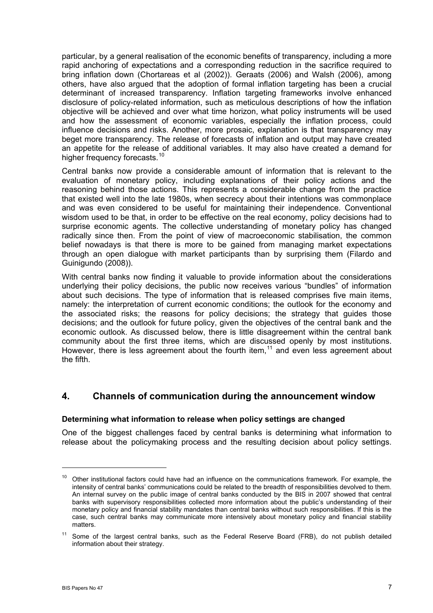<span id="page-10-0"></span>particular, by a general realisation of the economic benefits of transparency, including a more rapid anchoring of expectations and a corresponding reduction in the sacrifice required to bring inflation down (Chortareas et al (2002)). Geraats (2006) and Walsh (2006), among others, have also argued that the adoption of formal inflation targeting has been a crucial determinant of increased transparency. Inflation targeting frameworks involve enhanced disclosure of policy-related information, such as meticulous descriptions of how the inflation objective will be achieved and over what time horizon, what policy instruments will be used and how the assessment of economic variables, especially the inflation process, could influence decisions and risks. Another, more prosaic, explanation is that transparency may beget more transparency. The release of forecasts of inflation and output may have created an appetite for the release of additional variables. It may also have created a demand for higher frequency forecasts.<sup>[1](#page-10-0)0</sup>

Central banks now provide a considerable amount of information that is relevant to the evaluation of monetary policy, including explanations of their policy actions and the reasoning behind those actions. This represents a considerable change from the practice that existed well into the late 1980s, when secrecy about their intentions was commonplace and was even considered to be useful for maintaining their independence. Conventional wisdom used to be that, in order to be effective on the real economy, policy decisions had to surprise economic agents. The collective understanding of monetary policy has changed radically since then. From the point of view of macroeconomic stabilisation, the common belief nowadays is that there is more to be gained from managing market expectations through an open dialogue with market participants than by surprising them (Filardo and Guinigundo (2008)).

With central banks now finding it valuable to provide information about the considerations underlying their policy decisions, the public now receives various "bundles" of information about such decisions. The type of information that is released comprises five main items, namely: the interpretation of current economic conditions; the outlook for the economy and the associated risks; the reasons for policy decisions; the strategy that guides those decisions; and the outlook for future policy, given the objectives of the central bank and the economic outlook. As discussed below, there is little disagreement within the central bank community about the first three items, which are discussed openly by most institutions. However, there is less agreement about the fourth item,  $11$  $11$  and even less agreement about the fifth.

## **4. Channels of communication during the announcement window**

#### **Determining what information to release when policy settings are changed**

One of the biggest challenges faced by central banks is determining what information to release about the policymaking process and the resulting decision about policy settings.

<sup>&</sup>lt;sup>10</sup> Other institutional factors could have had an influence on the communications framework. For example, the intensity of central banks' communications could be related to the breadth of responsibilities devolved to them. An internal survey on the public image of central banks conducted by the BIS in 2007 showed that central banks with supervisory responsibilities collected more information about the public's understanding of their monetary policy and financial stability mandates than central banks without such responsibilities. If this is the case, such central banks may communicate more intensively about monetary policy and financial stability matters.

 $11$  Some of the largest central banks, such as the Federal Reserve Board (FRB), do not publish detailed information about their strategy.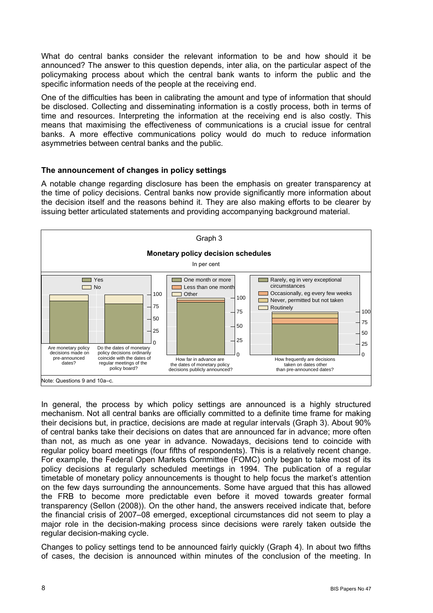<span id="page-11-0"></span>What do central banks consider the relevant information to be and how should it be announced? The answer to this question depends, inter alia, on the particular aspect of the policymaking process about which the central bank wants to inform the public and the specific information needs of the people at the receiving end.

One of the difficulties has been in calibrating the amount and type of information that should be disclosed. Collecting and disseminating information is a costly process, both in terms of time and resources. Interpreting the information at the receiving end is also costly. This means that maximising the effectiveness of communications is a crucial issue for central banks. A more effective communications policy would do much to reduce information asymmetries between central banks and the public.

#### **The announcement of changes in policy settings**

A notable change regarding disclosure has been the emphasis on greater transparency at the time of policy decisions. Central banks now provide significantly more information about the decision itself and the reasons behind it. They are also making efforts to be clearer by issuing better articulated statements and providing accompanying background material.



In general, the process by which policy settings are announced is a highly structured mechanism. Not all central banks are officially committed to a definite time frame for making their decisions but, in practice, decisions are made at regular intervals (Graph 3). About 90% of central banks take their decisions on dates that are announced far in advance; more often than not, as much as one year in advance. Nowadays, decisions tend to coincide with regular policy board meetings (four fifths of respondents). This is a relatively recent change. For example, the Federal Open Markets Committee (FOMC) only began to take most of its policy decisions at regularly scheduled meetings in 1994. The publication of a regular timetable of monetary policy announcements is thought to help focus the market's attention on the few days surrounding the announcements. Some have argued that this has allowed the FRB to become more predictable even before it moved towards greater formal transparency (Sellon (2008)). On the other hand, the answers received indicate that, before the financial crisis of 2007–08 emerged, exceptional circumstances did not seem to play a major role in the decision-making process since decisions were rarely taken outside the regular decision-making cycle.

Changes to policy settings tend to be announced fairly quickly (Graph 4). In about two fifths of cases, the decision is announced within minutes of the conclusion of the meeting. In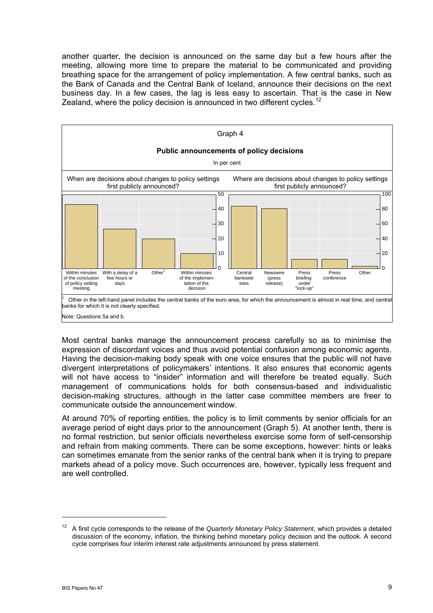<span id="page-12-0"></span>another quarter, the decision is announced on the same day but a few hours after the meeting, allowing more time to prepare the material to be communicated and providing breathing space for the arrangement of policy implementation. A few central banks, such as the Bank of Canada and the Central Bank of Iceland, announce their decisions on the next business day. In a few cases, the lag is less easy to ascertain. That is the case in New Zealand, where the policy decision is announced in two different cycles.<sup>[1](#page-12-0)2</sup>



Most central banks manage the announcement process carefully so as to minimise the expression of discordant voices and thus avoid potential confusion among economic agents. Having the decision-making body speak with one voice ensures that the public will not have divergent interpretations of policymakers' intentions. It also ensures that economic agents will not have access to "insider" information and will therefore be treated equally. Such management of communications holds for both consensus-based and individualistic decision-making structures, although in the latter case committee members are freer to communicate outside the announcement window.

At around 70% of reporting entities, the policy is to limit comments by senior officials for an average period of eight days prior to the announcement (Graph 5). At another tenth, there is no formal restriction, but senior officials nevertheless exercise some form of self-censorship and refrain from making comments. There can be some exceptions, however: hints or leaks can sometimes emanate from the senior ranks of the central bank when it is trying to prepare markets ahead of a policy move. Such occurrences are, however, typically less frequent and are well controlled.

<sup>12</sup> A first cycle corresponds to the release of the *Quarterly Monetary Policy Statement*, which provides a detailed discussion of the economy, inflation, the thinking behind monetary policy decision and the outlook. A second cycle comprises four interim interest rate adjustments announced by press statement.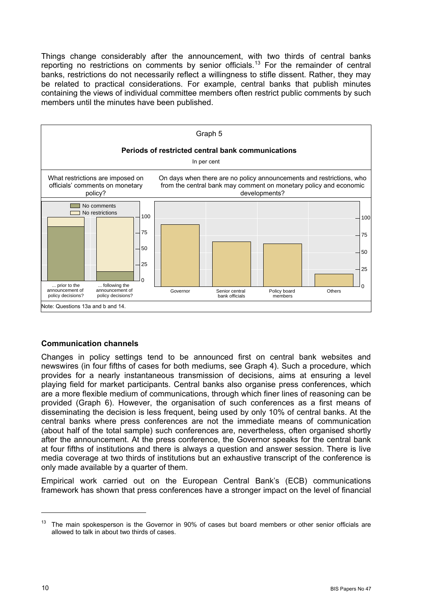<span id="page-13-0"></span>Things change considerably after the announcement, with two thirds of central banks reporting no restrictions on comments by senior officials.[1](#page-13-0)3 For the remainder of central banks, restrictions do not necessarily reflect a willingness to stifle dissent. Rather, they may be related to practical considerations. For example, central banks that publish minutes containing the views of individual committee members often restrict public comments by such members until the minutes have been published.



#### **Communication channels**

Changes in policy settings tend to be announced first on central bank websites and newswires (in four fifths of cases for both mediums, see Graph 4). Such a procedure, which provides for a nearly instantaneous transmission of decisions, aims at ensuring a level playing field for market participants. Central banks also organise press conferences, which are a more flexible medium of communications, through which finer lines of reasoning can be provided (Graph 6). However, the organisation of such conferences as a first means of disseminating the decision is less frequent, being used by only 10% of central banks. At the central banks where press conferences are not the immediate means of communication (about half of the total sample) such conferences are, nevertheless, often organised shortly after the announcement. At the press conference, the Governor speaks for the central bank at four fifths of institutions and there is always a question and answer session. There is live media coverage at two thirds of institutions but an exhaustive transcript of the conference is only made available by a quarter of them.

Empirical work carried out on the European Central Bank's (ECB) communications framework has shown that press conferences have a stronger impact on the level of financial

 $13$  The main spokesperson is the Governor in 90% of cases but board members or other senior officials are allowed to talk in about two thirds of cases.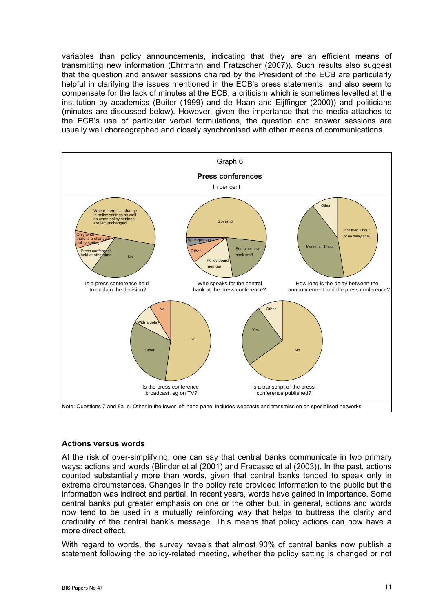<span id="page-14-0"></span>variables than policy announcements, indicating that they are an efficient means of transmitting new information (Ehrmann and Fratzscher (2007)). Such results also suggest that the question and answer sessions chaired by the President of the ECB are particularly helpful in clarifying the issues mentioned in the ECB's press statements, and also seem to compensate for the lack of minutes at the ECB, a criticism which is sometimes levelled at the institution by academics (Buiter (1999) and de Haan and Eijffinger (2000)) and politicians (minutes are discussed below). However, given the importance that the media attaches to the ECB's use of particular verbal formulations, the question and answer sessions are usually well choreographed and closely synchronised with other means of communications.



#### **Actions versus words**

At the risk of over-simplifying, one can say that central banks communicate in two primary ways: actions and words (Blinder et al (2001) and Fracasso et al (2003)). In the past, actions counted substantially more than words, given that central banks tended to speak only in extreme circumstances. Changes in the policy rate provided information to the public but the information was indirect and partial. In recent years, words have gained in importance. Some central banks put greater emphasis on one or the other but, in general, actions and words now tend to be used in a mutually reinforcing way that helps to buttress the clarity and credibility of the central bank's message. This means that policy actions can now have a more direct effect.

With regard to words, the survey reveals that almost 90% of central banks now publish a statement following the policy-related meeting, whether the policy setting is changed or not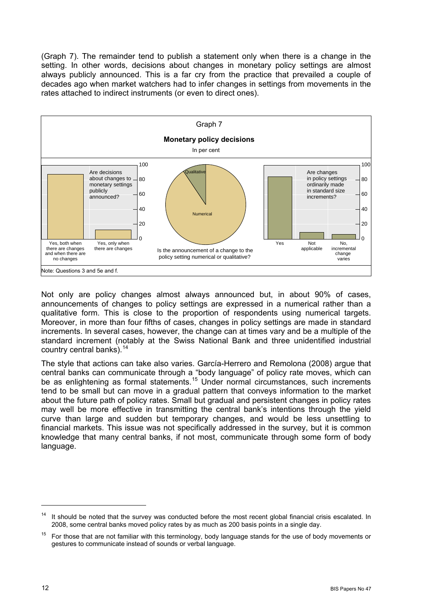<span id="page-15-0"></span>(Graph 7). The remainder tend to publish a statement only when there is a change in the setting. In other words, decisions about changes in monetary policy settings are almost always publicly announced. This is a far cry from the practice that prevailed a couple of decades ago when market watchers had to infer changes in settings from movements in the rates attached to indirect instruments (or even to direct ones).



Not only are policy changes almost always announced but, in about 90% of cases, announcements of changes to policy settings are expressed in a numerical rather than a qualitative form. This is close to the proportion of respondents using numerical targets. Moreover, in more than four fifths of cases, changes in policy settings are made in standard increments. In several cases, however, the change can at times vary and be a multiple of the standard increment (notably at the Swiss National Bank and three unidentified industrial country central banks).  $14$  $14$ 

The style that actions can take also varies. García-Herrero and Remolona (2008) argue that central banks can communicate through a "body language" of policy rate moves, which can be as enlightening as formal statements.<sup>[15](#page-15-0)</sup> Under normal circumstances, such increments tend to be small but can move in a gradual pattern that conveys information to the market about the future path of policy rates. Small but gradual and persistent changes in policy rates may well be more effective in transmitting the central bank's intentions through the yield curve than large and sudden but temporary changes, and would be less unsettling to financial markets. This issue was not specifically addressed in the survey, but it is common knowledge that many central banks, if not most, communicate through some form of body language.

It should be noted that the survey was conducted before the most recent global financial crisis escalated. In 2008, some central banks moved policy rates by as much as 200 basis points in a single day.

 $15$  For those that are not familiar with this terminology, body language stands for the use of body movements or gestures to communicate instead of sounds or verbal language.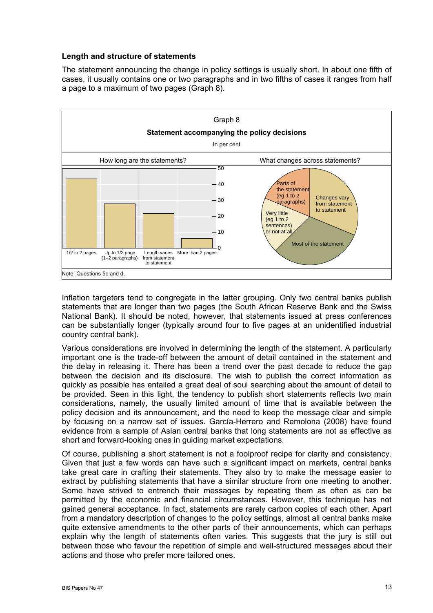#### <span id="page-16-0"></span>**Length and structure of statements**

The statement announcing the change in policy settings is usually short. In about one fifth of cases, it usually contains one or two paragraphs and in two fifths of cases it ranges from half a page to a maximum of two pages (Graph 8).



Inflation targeters tend to congregate in the latter grouping. Only two central banks publish statements that are longer than two pages (the South African Reserve Bank and the Swiss National Bank). It should be noted, however, that statements issued at press conferences can be substantially longer (typically around four to five pages at an unidentified industrial country central bank).

Various considerations are involved in determining the length of the statement. A particularly important one is the trade-off between the amount of detail contained in the statement and the delay in releasing it. There has been a trend over the past decade to reduce the gap between the decision and its disclosure. The wish to publish the correct information as quickly as possible has entailed a great deal of soul searching about the amount of detail to be provided. Seen in this light, the tendency to publish short statements reflects two main considerations, namely, the usually limited amount of time that is available between the policy decision and its announcement, and the need to keep the message clear and simple by focusing on a narrow set of issues. García-Herrero and Remolona (2008) have found evidence from a sample of Asian central banks that long statements are not as effective as short and forward-looking ones in guiding market expectations.

Of course, publishing a short statement is not a foolproof recipe for clarity and consistency. Given that just a few words can have such a significant impact on markets, central banks take great care in crafting their statements. They also try to make the message easier to extract by publishing statements that have a similar structure from one meeting to another. Some have strived to entrench their messages by repeating them as often as can be permitted by the economic and financial circumstances. However, this technique has not gained general acceptance. In fact, statements are rarely carbon copies of each other. Apart from a mandatory description of changes to the policy settings, almost all central banks make quite extensive amendments to the other parts of their announcements, which can perhaps explain why the length of statements often varies. This suggests that the jury is still out between those who favour the repetition of simple and well-structured messages about their actions and those who prefer more tailored ones.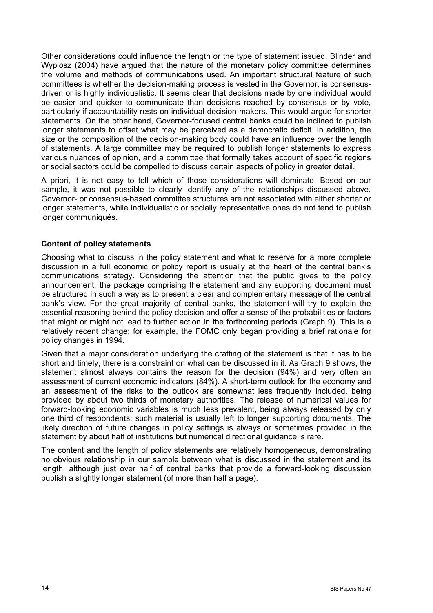<span id="page-17-0"></span>Other considerations could influence the length or the type of statement issued. Blinder and Wyplosz (2004) have argued that the nature of the monetary policy committee determines the volume and methods of communications used. An important structural feature of such committees is whether the decision-making process is vested in the Governor, is consensusdriven or is highly individualistic. It seems clear that decisions made by one individual would be easier and quicker to communicate than decisions reached by consensus or by vote, particularly if accountability rests on individual decision-makers. This would argue for shorter statements. On the other hand, Governor-focused central banks could be inclined to publish longer statements to offset what may be perceived as a democratic deficit. In addition, the size or the composition of the decision-making body could have an influence over the length of statements. A large committee may be required to publish longer statements to express various nuances of opinion, and a committee that formally takes account of specific regions or social sectors could be compelled to discuss certain aspects of policy in greater detail.

A priori, it is not easy to tell which of those considerations will dominate. Based on our sample, it was not possible to clearly identify any of the relationships discussed above. Governor- or consensus-based committee structures are not associated with either shorter or longer statements, while individualistic or socially representative ones do not tend to publish longer communiqués.

#### **Content of policy statements**

Choosing what to discuss in the policy statement and what to reserve for a more complete discussion in a full economic or policy report is usually at the heart of the central bank's communications strategy. Considering the attention that the public gives to the policy announcement, the package comprising the statement and any supporting document must be structured in such a way as to present a clear and complementary message of the central bank's view. For the great majority of central banks, the statement will try to explain the essential reasoning behind the policy decision and offer a sense of the probabilities or factors that might or might not lead to further action in the forthcoming periods (Graph 9). This is a relatively recent change; for example, the FOMC only began providing a brief rationale for policy changes in 1994.

Given that a major consideration underlying the crafting of the statement is that it has to be short and timely, there is a constraint on what can be discussed in it. As Graph 9 shows, the statement almost always contains the reason for the decision (94%) and very often an assessment of current economic indicators (84%). A short-term outlook for the economy and an assessment of the risks to the outlook are somewhat less frequently included, being provided by about two thirds of monetary authorities. The release of numerical values for forward-looking economic variables is much less prevalent, being always released by only one third of respondents: such material is usually left to longer supporting documents. The likely direction of future changes in policy settings is always or sometimes provided in the statement by about half of institutions but numerical directional guidance is rare.

The content and the length of policy statements are relatively homogeneous, demonstrating no obvious relationship in our sample between what is discussed in the statement and its length, although just over half of central banks that provide a forward-looking discussion publish a slightly longer statement (of more than half a page).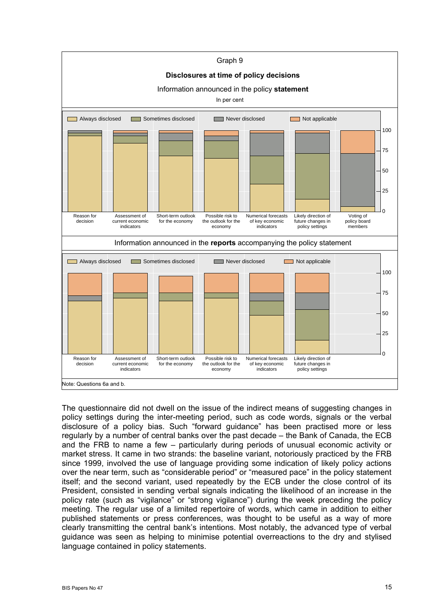

The questionnaire did not dwell on the issue of the indirect means of suggesting changes in policy settings during the inter-meeting period, such as code words, signals or the verbal disclosure of a policy bias. Such "forward guidance" has been practised more or less regularly by a number of central banks over the past decade – the Bank of Canada, the ECB and the FRB to name a few – particularly during periods of unusual economic activity or market stress. It came in two strands: the baseline variant, notoriously practiced by the FRB since 1999, involved the use of language providing some indication of likely policy actions over the near term, such as "considerable period" or "measured pace" in the policy statement itself; and the second variant, used repeatedly by the ECB under the close control of its President, consisted in sending verbal signals indicating the likelihood of an increase in the policy rate (such as "vigilance" or "strong vigilance") during the week preceding the policy meeting. The regular use of a limited repertoire of words, which came in addition to either published statements or press conferences, was thought to be useful as a way of more clearly transmitting the central bank's intentions. Most notably, the advanced type of verbal guidance was seen as helping to minimise potential overreactions to the dry and stylised language contained in policy statements.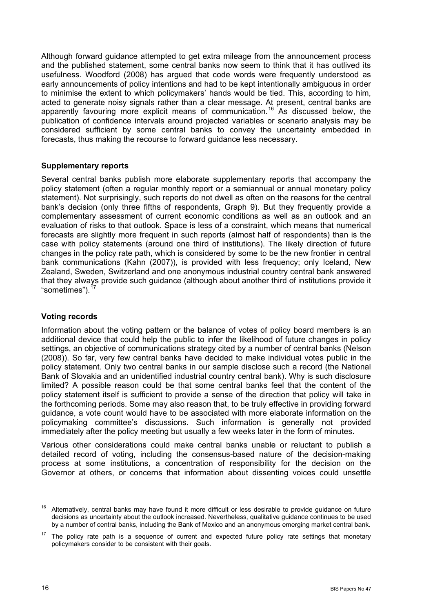<span id="page-19-0"></span>Although forward guidance attempted to get extra mileage from the announcement process and the published statement, some central banks now seem to think that it has outlived its usefulness. Woodford (2008) has argued that code words were frequently understood as early announcements of policy intentions and had to be kept intentionally ambiguous in order to minimise the extent to which policymakers' hands would be tied. This, according to him, acted to generate noisy signals rather than a clear message. At present, central banks are apparently favouring more explicit means of communication.<sup>[16](#page-19-0)</sup> As discussed below, the publication of confidence intervals around projected variables or scenario analysis may be considered sufficient by some central banks to convey the uncertainty embedded in forecasts, thus making the recourse to forward guidance less necessary.

#### **Supplementary reports**

Several central banks publish more elaborate supplementary reports that accompany the policy statement (often a regular monthly report or a semiannual or annual monetary policy statement). Not surprisingly, such reports do not dwell as often on the reasons for the central bank's decision (only three fifths of respondents, Graph 9). But they frequently provide a complementary assessment of current economic conditions as well as an outlook and an evaluation of risks to that outlook. Space is less of a constraint, which means that numerical forecasts are slightly more frequent in such reports (almost half of respondents) than is the case with policy statements (around one third of institutions). The likely direction of future changes in the policy rate path, which is considered by some to be the new frontier in central bank communications (Kahn (2007)), is provided with less frequency; only Iceland, New Zealand, Sweden, Switzerland and one anonymous industrial country central bank answered that they always provide such guidance (although about another third of institutions provide it "sometimes").<sup>[1](#page-19-0)7</sup>

#### **Voting records**

Information about the voting pattern or the balance of votes of policy board members is an additional device that could help the public to infer the likelihood of future changes in policy settings, an objective of communications strategy cited by a number of central banks (Nelson (2008)). So far, very few central banks have decided to make individual votes public in the policy statement. Only two central banks in our sample disclose such a record (the National Bank of Slovakia and an unidentified industrial country central bank). Why is such disclosure limited? A possible reason could be that some central banks feel that the content of the policy statement itself is sufficient to provide a sense of the direction that policy will take in the forthcoming periods. Some may also reason that, to be truly effective in providing forward guidance, a vote count would have to be associated with more elaborate information on the policymaking committee's discussions. Such information is generally not provided immediately after the policy meeting but usually a few weeks later in the form of minutes.

Various other considerations could make central banks unable or reluctant to publish a detailed record of voting, including the consensus-based nature of the decision-making process at some institutions, a concentration of responsibility for the decision on the Governor at others, or concerns that information about dissenting voices could unsettle

 $\overline{a}$ 

<sup>&</sup>lt;sup>16</sup> Alternatively, central banks may have found it more difficult or less desirable to provide guidance on future decisions as uncertainty about the outlook increased. Nevertheless, qualitative guidance continues to be used by a number of central banks, including the Bank of Mexico and an anonymous emerging market central bank.

 $17$  The policy rate path is a sequence of current and expected future policy rate settings that monetary policymakers consider to be consistent with their goals.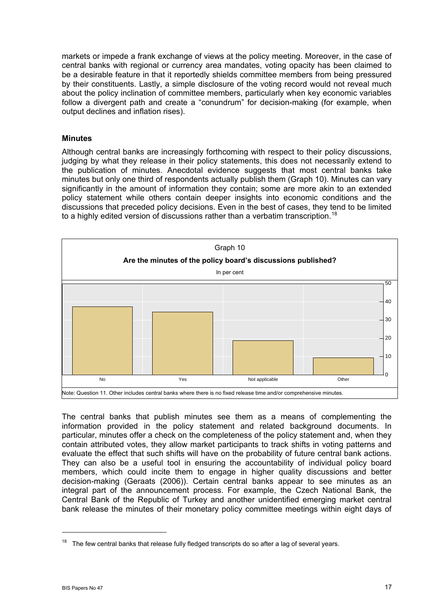<span id="page-20-0"></span>markets or impede a frank exchange of views at the policy meeting. Moreover, in the case of central banks with regional or currency area mandates, voting opacity has been claimed to be a desirable feature in that it reportedly shields committee members from being pressured by their constituents. Lastly, a simple disclosure of the voting record would not reveal much about the policy inclination of committee members, particularly when key economic variables follow a divergent path and create a "conundrum" for decision-making (for example, when output declines and inflation rises).

#### **Minutes**

Although central banks are increasingly forthcoming with respect to their policy discussions, judging by what they release in their policy statements, this does not necessarily extend to the publication of minutes. Anecdotal evidence suggests that most central banks take minutes but only one third of respondents actually publish them (Graph 10). Minutes can vary significantly in the amount of information they contain; some are more akin to an extended policy statement while others contain deeper insights into economic conditions and the discussions that preceded policy decisions. Even in the best of cases, they tend to be limited to a highly edited version of discussions rather than a verbatim transcription.<sup>[18](#page-20-0)</sup>



The central banks that publish minutes see them as a means of complementing the information provided in the policy statement and related background documents. In particular, minutes offer a check on the completeness of the policy statement and, when they contain attributed votes, they allow market participants to track shifts in voting patterns and evaluate the effect that such shifts will have on the probability of future central bank actions. They can also be a useful tool in ensuring the accountability of individual policy board members, which could incite them to engage in higher quality discussions and better decision-making (Geraats (2006)). Certain central banks appear to see minutes as an integral part of the announcement process. For example, the Czech National Bank, the Central Bank of the Republic of Turkey and another unidentified emerging market central bank release the minutes of their monetary policy committee meetings within eight days of

 $18$  The few central banks that release fully fledged transcripts do so after a lag of several years.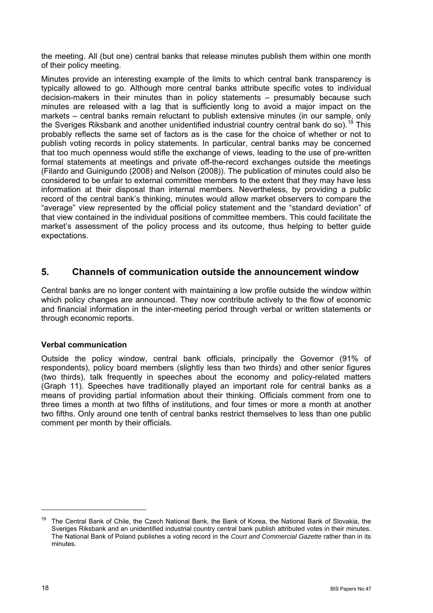<span id="page-21-0"></span>the meeting. All (but one) central banks that release minutes publish them within one month of their policy meeting.

Minutes provide an interesting example of the limits to which central bank transparency is typically allowed to go. Although more central banks attribute specific votes to individual decision-makers in their minutes than in policy statements – presumably because such minutes are released with a lag that is sufficiently long to avoid a major impact on the markets – central banks remain reluctant to publish extensive minutes (in our sample, only the Sveriges Riksbank and another unidentified industrial country central bank do so).<sup>[1](#page-21-0)9</sup> This probably reflects the same set of factors as is the case for the choice of whether or not to publish voting records in policy statements. In particular, central banks may be concerned that too much openness would stifle the exchange of views, leading to the use of pre-written formal statements at meetings and private off-the-record exchanges outside the meetings (Filardo and Guinigundo (2008) and Nelson (2008)). The publication of minutes could also be considered to be unfair to external committee members to the extent that they may have less information at their disposal than internal members. Nevertheless, by providing a public record of the central bank's thinking, minutes would allow market observers to compare the "average" view represented by the official policy statement and the "standard deviation" of that view contained in the individual positions of committee members. This could facilitate the market's assessment of the policy process and its outcome, thus helping to better guide expectations.

## **5. Channels of communication outside the announcement window**

Central banks are no longer content with maintaining a low profile outside the window within which policy changes are announced. They now contribute actively to the flow of economic and financial information in the inter-meeting period through verbal or written statements or through economic reports.

#### **Verbal communication**

Outside the policy window, central bank officials, principally the Governor (91% of respondents), policy board members (slightly less than two thirds) and other senior figures (two thirds), talk frequently in speeches about the economy and policy-related matters (Graph 11). Speeches have traditionally played an important role for central banks as a means of providing partial information about their thinking. Officials comment from one to three times a month at two fifths of institutions, and four times or more a month at another two fifths. Only around one tenth of central banks restrict themselves to less than one public comment per month by their officials.

<sup>&</sup>lt;sup>19</sup> The Central Bank of Chile, the Czech National Bank, the Bank of Korea, the National Bank of Slovakia, the Sveriges Riksbank and an unidentified industrial country central bank publish attributed votes in their minutes. The National Bank of Poland publishes a voting record in the *Court and Commercial Gazette* rather than in its minutes.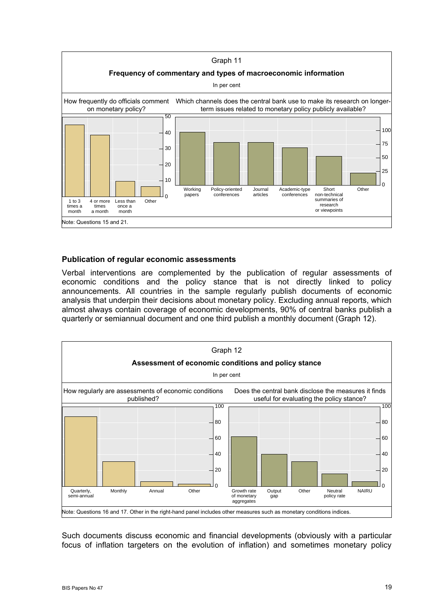<span id="page-22-0"></span>

#### **Publication of regular economic assessments**

Verbal interventions are complemented by the publication of regular assessments of economic conditions and the policy stance that is not directly linked to policy announcements. All countries in the sample regularly publish documents of economic analysis that underpin their decisions about monetary policy. Excluding annual reports, which almost always contain coverage of economic developments, 90% of central banks publish a quarterly or semiannual document and one third publish a monthly document (Graph 12).



Such documents discuss economic and financial developments (obviously with a particular focus of inflation targeters on the evolution of inflation) and sometimes monetary policy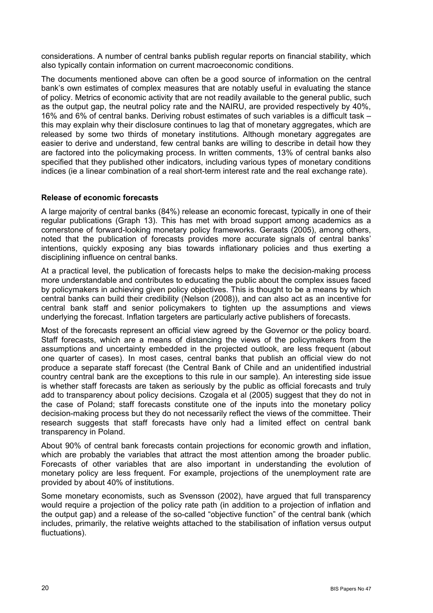<span id="page-23-0"></span>considerations. A number of central banks publish regular reports on financial stability, which also typically contain information on current macroeconomic conditions.

The documents mentioned above can often be a good source of information on the central bank's own estimates of complex measures that are notably useful in evaluating the stance of policy. Metrics of economic activity that are not readily available to the general public, such as the output gap, the neutral policy rate and the NAIRU, are provided respectively by 40%, 16% and 6% of central banks. Deriving robust estimates of such variables is a difficult task – this may explain why their disclosure continues to lag that of monetary aggregates, which are released by some two thirds of monetary institutions. Although monetary aggregates are easier to derive and understand, few central banks are willing to describe in detail how they are factored into the policymaking process. In written comments, 13% of central banks also specified that they published other indicators, including various types of monetary conditions indices (ie a linear combination of a real short-term interest rate and the real exchange rate).

#### **Release of economic forecasts**

A large majority of central banks (84%) release an economic forecast, typically in one of their regular publications (Graph 13). This has met with broad support among academics as a cornerstone of forward-looking monetary policy frameworks. Geraats (2005), among others, noted that the publication of forecasts provides more accurate signals of central banks' intentions, quickly exposing any bias towards inflationary policies and thus exerting a disciplining influence on central banks.

At a practical level, the publication of forecasts helps to make the decision-making process more understandable and contributes to educating the public about the complex issues faced by policymakers in achieving given policy objectives. This is thought to be a means by which central banks can build their credibility (Nelson (2008)), and can also act as an incentive for central bank staff and senior policymakers to tighten up the assumptions and views underlying the forecast. Inflation targeters are particularly active publishers of forecasts.

Most of the forecasts represent an official view agreed by the Governor or the policy board. Staff forecasts, which are a means of distancing the views of the policymakers from the assumptions and uncertainty embedded in the projected outlook, are less frequent (about one quarter of cases). In most cases, central banks that publish an official view do not produce a separate staff forecast (the Central Bank of Chile and an unidentified industrial country central bank are the exceptions to this rule in our sample). An interesting side issue is whether staff forecasts are taken as seriously by the public as official forecasts and truly add to transparency about policy decisions. Czogala et al (2005) suggest that they do not in the case of Poland; staff forecasts constitute one of the inputs into the monetary policy decision-making process but they do not necessarily reflect the views of the committee. Their research suggests that staff forecasts have only had a limited effect on central bank transparency in Poland.

About 90% of central bank forecasts contain projections for economic growth and inflation, which are probably the variables that attract the most attention among the broader public. Forecasts of other variables that are also important in understanding the evolution of monetary policy are less frequent. For example, projections of the unemployment rate are provided by about 40% of institutions.

Some monetary economists, such as Svensson (2002), have argued that full transparency would require a projection of the policy rate path (in addition to a projection of inflation and the output gap) and a release of the so-called "objective function" of the central bank (which includes, primarily, the relative weights attached to the stabilisation of inflation versus output fluctuations).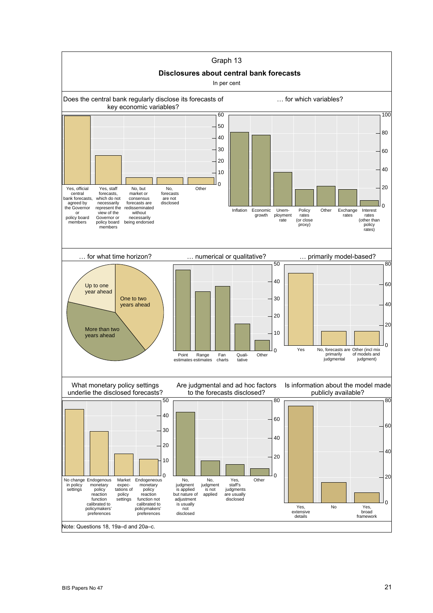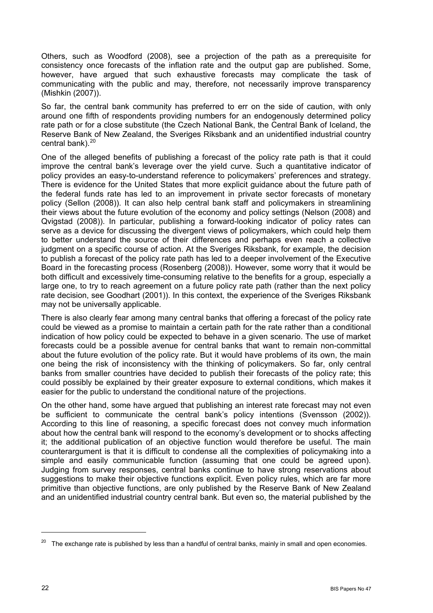<span id="page-25-0"></span>Others, such as Woodford (2008), see a projection of the path as a prerequisite for consistency once forecasts of the inflation rate and the output gap are published. Some, however, have argued that such exhaustive forecasts may complicate the task of communicating with the public and may, therefore, not necessarily improve transparency (Mishkin (2007)).

So far, the central bank community has preferred to err on the side of caution, with only around one fifth of respondents providing numbers for an endogenously determined policy rate path or for a close substitute (the Czech National Bank, the Central Bank of Iceland, the Reserve Bank of New Zealand, the Sveriges Riksbank and an unidentified industrial country central bank). $20$ 

One of the alleged benefits of publishing a forecast of the policy rate path is that it could improve the central bank's leverage over the yield curve. Such a quantitative indicator of policy provides an easy-to-understand reference to policymakers' preferences and strategy. There is evidence for the United States that more explicit guidance about the future path of the federal funds rate has led to an improvement in private sector forecasts of monetary policy (Sellon (2008)). It can also help central bank staff and policymakers in streamlining their views about the future evolution of the economy and policy settings (Nelson (2008) and Qvigstad (2008)). In particular, publishing a forward-looking indicator of policy rates can serve as a device for discussing the divergent views of policymakers, which could help them to better understand the source of their differences and perhaps even reach a collective judgment on a specific course of action. At the Sveriges Riksbank, for example, the decision to publish a forecast of the policy rate path has led to a deeper involvement of the Executive Board in the forecasting process (Rosenberg (2008)). However, some worry that it would be both difficult and excessively time-consuming relative to the benefits for a group, especially a large one, to try to reach agreement on a future policy rate path (rather than the next policy rate decision, see Goodhart (2001)). In this context, the experience of the Sveriges Riksbank may not be universally applicable.

There is also clearly fear among many central banks that offering a forecast of the policy rate could be viewed as a promise to maintain a certain path for the rate rather than a conditional indication of how policy could be expected to behave in a given scenario. The use of market forecasts could be a possible avenue for central banks that want to remain non-committal about the future evolution of the policy rate. But it would have problems of its own, the main one being the risk of inconsistency with the thinking of policymakers. So far, only central banks from smaller countries have decided to publish their forecasts of the policy rate; this could possibly be explained by their greater exposure to external conditions, which makes it easier for the public to understand the conditional nature of the projections.

On the other hand, some have argued that publishing an interest rate forecast may not even be sufficient to communicate the central bank's policy intentions (Svensson (2002)). According to this line of reasoning, a specific forecast does not convey much information about how the central bank will respond to the economy's development or to shocks affecting it; the additional publication of an objective function would therefore be useful. The main counterargument is that it is difficult to condense all the complexities of policymaking into a simple and easily communicable function (assuming that one could be agreed upon). Judging from survey responses, central banks continue to have strong reservations about suggestions to make their objective functions explicit. Even policy rules, which are far more primitive than objective functions, are only published by the Reserve Bank of New Zealand and an unidentified industrial country central bank. But even so, the material published by the

<sup>&</sup>lt;sup>20</sup> The exchange rate is published by less than a handful of central banks, mainly in small and open economies.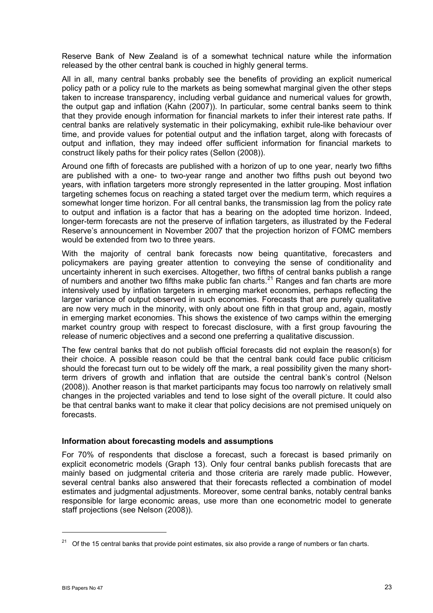<span id="page-26-0"></span>Reserve Bank of New Zealand is of a somewhat technical nature while the information released by the other central bank is couched in highly general terms.

All in all, many central banks probably see the benefits of providing an explicit numerical policy path or a policy rule to the markets as being somewhat marginal given the other steps taken to increase transparency, including verbal guidance and numerical values for growth, the output gap and inflation (Kahn (2007)). In particular, some central banks seem to think that they provide enough information for financial markets to infer their interest rate paths. If central banks are relatively systematic in their policymaking, exhibit rule-like behaviour over time, and provide values for potential output and the inflation target, along with forecasts of output and inflation, they may indeed offer sufficient information for financial markets to construct likely paths for their policy rates (Sellon (2008)).

Around one fifth of forecasts are published with a horizon of up to one year, nearly two fifths are published with a one- to two-year range and another two fifths push out beyond two years, with inflation targeters more strongly represented in the latter grouping. Most inflation targeting schemes focus on reaching a stated target over the medium term, which requires a somewhat longer time horizon. For all central banks, the transmission lag from the policy rate to output and inflation is a factor that has a bearing on the adopted time horizon. Indeed, longer-term forecasts are not the preserve of inflation targeters, as illustrated by the Federal Reserve's announcement in November 2007 that the projection horizon of FOMC members would be extended from two to three years.

With the majority of central bank forecasts now being quantitative, forecasters and policymakers are paying greater attention to conveying the sense of conditionality and uncertainty inherent in such exercises. Altogether, two fifths of central banks publish a range of numbers and another two fifths make public fan charts.<sup>[21](#page-26-0)</sup> Ranges and fan charts are more intensively used by inflation targeters in emerging market economies, perhaps reflecting the larger variance of output observed in such economies. Forecasts that are purely qualitative are now very much in the minority, with only about one fifth in that group and, again, mostly in emerging market economies. This shows the existence of two camps within the emerging market country group with respect to forecast disclosure, with a first group favouring the release of numeric objectives and a second one preferring a qualitative discussion.

The few central banks that do not publish official forecasts did not explain the reason(s) for their choice. A possible reason could be that the central bank could face public criticism should the forecast turn out to be widely off the mark, a real possibility given the many shortterm drivers of growth and inflation that are outside the central bank's control (Nelson (2008)). Another reason is that market participants may focus too narrowly on relatively small changes in the projected variables and tend to lose sight of the overall picture. It could also be that central banks want to make it clear that policy decisions are not premised uniquely on forecasts.

#### **Information about forecasting models and assumptions**

For 70% of respondents that disclose a forecast, such a forecast is based primarily on explicit econometric models (Graph 13). Only four central banks publish forecasts that are mainly based on judgmental criteria and those criteria are rarely made public. However, several central banks also answered that their forecasts reflected a combination of model estimates and judgmental adjustments. Moreover, some central banks, notably central banks responsible for large economic areas, use more than one econometric model to generate staff projections (see Nelson (2008)).

 $21$  Of the 15 central banks that provide point estimates, six also provide a range of numbers or fan charts.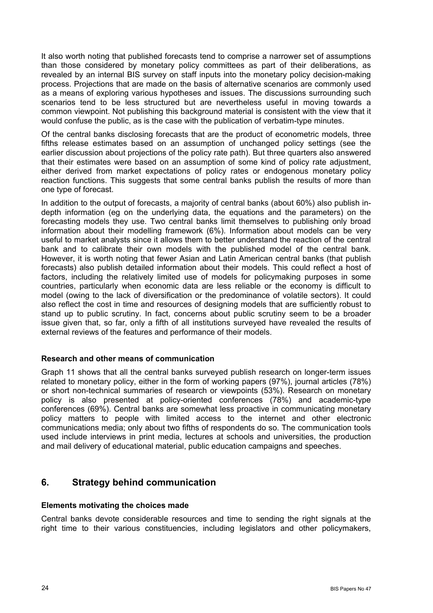<span id="page-27-0"></span>It also worth noting that published forecasts tend to comprise a narrower set of assumptions than those considered by monetary policy committees as part of their deliberations, as revealed by an internal BIS survey on staff inputs into the monetary policy decision-making process. Projections that are made on the basis of alternative scenarios are commonly used as a means of exploring various hypotheses and issues. The discussions surrounding such scenarios tend to be less structured but are nevertheless useful in moving towards a common viewpoint. Not publishing this background material is consistent with the view that it would confuse the public, as is the case with the publication of verbatim-type minutes.

Of the central banks disclosing forecasts that are the product of econometric models, three fifths release estimates based on an assumption of unchanged policy settings (see the earlier discussion about projections of the policy rate path). But three quarters also answered that their estimates were based on an assumption of some kind of policy rate adjustment, either derived from market expectations of policy rates or endogenous monetary policy reaction functions. This suggests that some central banks publish the results of more than one type of forecast.

In addition to the output of forecasts, a majority of central banks (about 60%) also publish indepth information (eg on the underlying data, the equations and the parameters) on the forecasting models they use. Two central banks limit themselves to publishing only broad information about their modelling framework (6%). Information about models can be very useful to market analysts since it allows them to better understand the reaction of the central bank and to calibrate their own models with the published model of the central bank. However, it is worth noting that fewer Asian and Latin American central banks (that publish forecasts) also publish detailed information about their models. This could reflect a host of factors, including the relatively limited use of models for policymaking purposes in some countries, particularly when economic data are less reliable or the economy is difficult to model (owing to the lack of diversification or the predominance of volatile sectors). It could also reflect the cost in time and resources of designing models that are sufficiently robust to stand up to public scrutiny. In fact, concerns about public scrutiny seem to be a broader issue given that, so far, only a fifth of all institutions surveyed have revealed the results of external reviews of the features and performance of their models.

#### **Research and other means of communication**

Graph 11 shows that all the central banks surveyed publish research on longer-term issues related to monetary policy, either in the form of working papers (97%), journal articles (78%) or short non-technical summaries of research or viewpoints (53%). Research on monetary policy is also presented at policy-oriented conferences (78%) and academic-type conferences (69%). Central banks are somewhat less proactive in communicating monetary policy matters to people with limited access to the internet and other electronic communications media; only about two fifths of respondents do so. The communication tools used include interviews in print media, lectures at schools and universities, the production and mail delivery of educational material, public education campaigns and speeches.

## **6. Strategy behind communication**

#### **Elements motivating the choices made**

Central banks devote considerable resources and time to sending the right signals at the right time to their various constituencies, including legislators and other policymakers,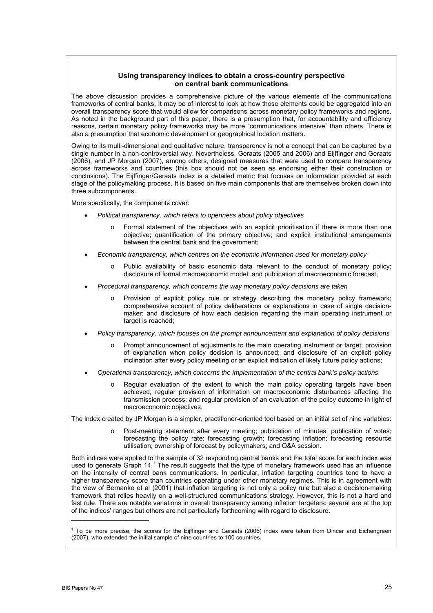#### **Using transparency indices to obtain a cross-country perspective on central bank communications**

The above discussion provides a comprehensive picture of the various elements of the communications frameworks of central banks. It may be of interest to look at how those elements could be aggregated into an overall transparency score that would allow for comparisons across monetary policy frameworks and regions. As noted in the background part of this paper, there is a presumption that, for accountability and efficiency reasons, certain monetary policy frameworks may be more "communications intensive" than others. There is also a presumption that economic development or geographical location matters.

Owing to its multi-dimensional and qualitative nature, transparency is not a concept that can be captured by a single number in a non-controversial way. Nevertheless, Geraats (2005 and 2006) and Eijffinger and Geraats (2006), and JP Morgan (2007), among others, designed measures that were used to compare transparency across frameworks and countries (this box should not be seen as endorsing either their construction or conclusions). The Eijffinger/Geraats index is a detailed metric that focuses on information provided at each stage of the policymaking process. It is based on five main components that are themselves broken down into three subcomponents.

More specifically, the components cover:

- *Political transparency, which refers to openness about policy objectives* 
	- o Formal statement of the objectives with an explicit prioritisation if there is more than one objective; quantification of the primary objective; and explicit institutional arrangements between the central bank and the government;
- *Economic transparency, which centres on the economic information used for monetary policy* 
	- o Public availability of basic economic data relevant to the conduct of monetary policy; disclosure of formal macroeconomic model; and publication of macroeconomic forecast;
- *Procedural transparency, which concerns the way monetary policy decisions are taken* 
	- o Provision of explicit policy rule or strategy describing the monetary policy framework; comprehensive account of policy deliberations or explanations in case of single decisionmaker; and disclosure of how each decision regarding the main operating instrument or target is reached;
- *Policy transparency, which focuses on the prompt announcement and explanation of policy decisions* 
	- o Prompt announcement of adjustments to the main operating instrument or target; provision of explanation when policy decision is announced; and disclosure of an explicit policy inclination after every policy meeting or an explicit indication of likely future policy actions;
- *Operational transparency, which concerns the implementation of the central bank's policy actions* 
	- $\circ$  Regular evaluation of the extent to which the main policy operating targets have been achieved; regular provision of information on macroeconomic disturbances affecting the transmission process; and regular provision of an evaluation of the policy outcome in light of macroeconomic objectives.

The index created by JP Morgan is a simpler, practitioner-oriented tool based on an initial set of nine variables:

Post-meeting statement after every meeting; publication of minutes; publication of votes; forecasting the policy rate; forecasting growth; forecasting inflation; forecasting resource utilisation; ownership of forecast by policymakers; and Q&A session.

Both indices were applied to the sample of 32 responding central banks and the total score for each index was used to generate Graph 14.<sup>‡</sup> The result suggests that the type of monetary framework used has an influence on the intensity of central bank communications. In particular, inflation targeting countries tend to have a higher transparency score than countries operating under other monetary regimes. This is in agreement with the view of Bernanke et al (2001) that inflation targeting is not only a policy rule but also a decision-making framework that relies heavily on a well-structured communications strategy. However, this is not a hard and fast rule. There are notable variations in overall transparency among inflation targeters: several are at the top of the indices' ranges but others are not particularly forthcoming with regard to disclosure.

\_\_\_\_\_\_\_\_\_\_\_\_\_\_\_\_\_\_\_\_\_\_\_\_

<sup>‡</sup> To be more precise, the scores for the Eijffinger and Geraats (2006) index were taken from Dincer and Eichengreen (2007), who extended the initial sample of nine countries to 100 countries.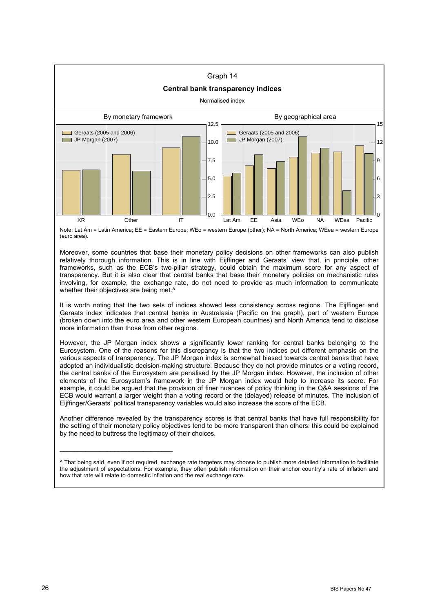

Note: Lat Am = Latin America; EE = Eastern Europe; WEo = western Europe (other); NA = North America; WEea = western Europe (euro area).

Moreover, some countries that base their monetary policy decisions on other frameworks can also publish relatively thorough information. This is in line with Eijffinger and Geraats' view that, in principle, other frameworks, such as the ECB's two-pillar strategy, could obtain the maximum score for any aspect of transparency. But it is also clear that central banks that base their monetary policies on mechanistic rules involving, for example, the exchange rate, do not need to provide as much information to communicate whether their objectives are being met.<sup>^</sup>

It is worth noting that the two sets of indices showed less consistency across regions. The Eijffinger and Geraats index indicates that central banks in Australasia (Pacific on the graph), part of western Europe (broken down into the euro area and other western European countries) and North America tend to disclose more information than those from other regions.

However, the JP Morgan index shows a significantly lower ranking for central banks belonging to the Eurosystem. One of the reasons for this discrepancy is that the two indices put different emphasis on the various aspects of transparency. The JP Morgan index is somewhat biased towards central banks that have adopted an individualistic decision-making structure. Because they do not provide minutes or a voting record, the central banks of the Eurosystem are penalised by the JP Morgan index. However, the inclusion of other elements of the Eurosystem's framework in the JP Morgan index would help to increase its score. For example, it could be argued that the provision of finer nuances of policy thinking in the Q&A sessions of the ECB would warrant a larger weight than a voting record or the (delayed) release of minutes. The inclusion of Eijffinger/Geraats' political transparency variables would also increase the score of the ECB.

Another difference revealed by the transparency scores is that central banks that have full responsibility for the setting of their monetary policy objectives tend to be more transparent than others: this could be explained by the need to buttress the legitimacy of their choices.

\_\_\_\_\_\_\_\_\_\_\_\_\_\_\_\_\_\_\_\_\_\_\_\_\_\_\_\_\_\_\_

<sup>^</sup> That being said, even if not required, exchange rate targeters may choose to publish more detailed information to facilitate the adjustment of expectations. For example, they often publish information on their anchor country's rate of inflation and how that rate will relate to domestic inflation and the real exchange rate.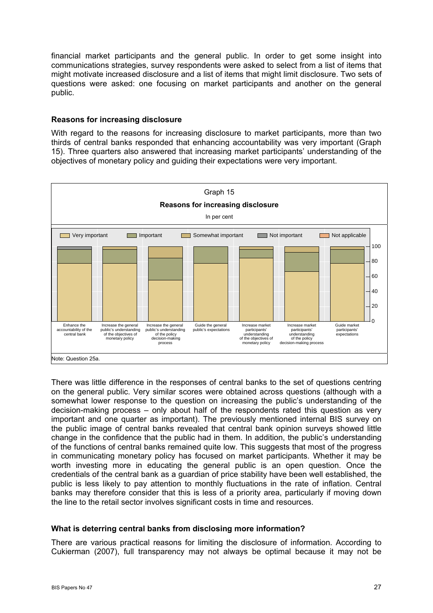<span id="page-30-0"></span>financial market participants and the general public. In order to get some insight into communications strategies, survey respondents were asked to select from a list of items that might motivate increased disclosure and a list of items that might limit disclosure. Two sets of questions were asked: one focusing on market participants and another on the general public.

#### **Reasons for increasing disclosure**

With regard to the reasons for increasing disclosure to market participants, more than two thirds of central banks responded that enhancing accountability was very important (Graph 15). Three quarters also answered that increasing market participants' understanding of the objectives of monetary policy and guiding their expectations were very important.



There was little difference in the responses of central banks to the set of questions centring on the general public. Very similar scores were obtained across questions (although with a somewhat lower response to the question on increasing the public's understanding of the decision-making process – only about half of the respondents rated this question as very important and one quarter as important). The previously mentioned internal BIS survey on the public image of central banks revealed that central bank opinion surveys showed little change in the confidence that the public had in them. In addition, the public's understanding of the functions of central banks remained quite low. This suggests that most of the progress in communicating monetary policy has focused on market participants. Whether it may be worth investing more in educating the general public is an open question. Once the credentials of the central bank as a guardian of price stability have been well established, the public is less likely to pay attention to monthly fluctuations in the rate of inflation. Central banks may therefore consider that this is less of a priority area, particularly if moving down the line to the retail sector involves significant costs in time and resources.

#### **What is deterring central banks from disclosing more information?**

There are various practical reasons for limiting the disclosure of information. According to Cukierman (2007), full transparency may not always be optimal because it may not be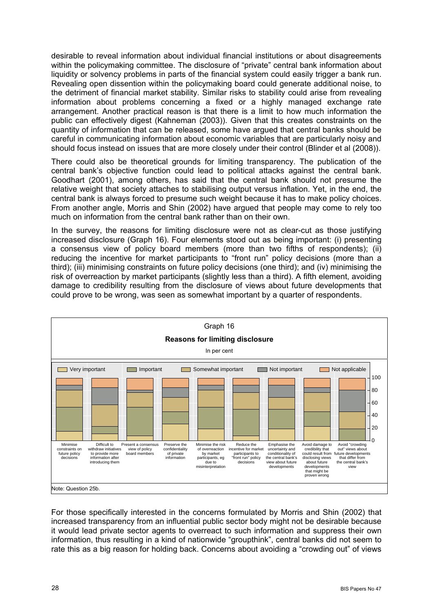desirable to reveal information about individual financial institutions or about disagreements within the policymaking committee. The disclosure of "private" central bank information about liquidity or solvency problems in parts of the financial system could easily trigger a bank run. Revealing open dissention within the policymaking board could generate additional noise, to the detriment of financial market stability. Similar risks to stability could arise from revealing information about problems concerning a fixed or a highly managed exchange rate arrangement. Another practical reason is that there is a limit to how much information the public can effectively digest (Kahneman (2003)). Given that this creates constraints on the quantity of information that can be released, some have argued that central banks should be careful in communicating information about economic variables that are particularly noisy and should focus instead on issues that are more closely under their control (Blinder et al (2008)).

There could also be theoretical grounds for limiting transparency. The publication of the central bank's objective function could lead to political attacks against the central bank. Goodhart (2001), among others, has said that the central bank should not presume the relative weight that society attaches to stabilising output versus inflation. Yet, in the end, the central bank is always forced to presume such weight because it has to make policy choices. From another angle, Morris and Shin (2002) have argued that people may come to rely too much on information from the central bank rather than on their own.

In the survey, the reasons for limiting disclosure were not as clear-cut as those justifying increased disclosure (Graph 16). Four elements stood out as being important: (i) presenting a consensus view of policy board members (more than two fifths of respondents); (ii) reducing the incentive for market participants to "front run" policy decisions (more than a third); (iii) minimising constraints on future policy decisions (one third); and (iv) minimising the risk of overreaction by market participants (slightly less than a third). A fifth element, avoiding damage to credibility resulting from the disclosure of views about future developments that could prove to be wrong, was seen as somewhat important by a quarter of respondents.



For those specifically interested in the concerns formulated by Morris and Shin (2002) that increased transparency from an influential public sector body might not be desirable because it would lead private sector agents to overreact to such information and suppress their own information, thus resulting in a kind of nationwide "groupthink", central banks did not seem to rate this as a big reason for holding back. Concerns about avoiding a "crowding out" of views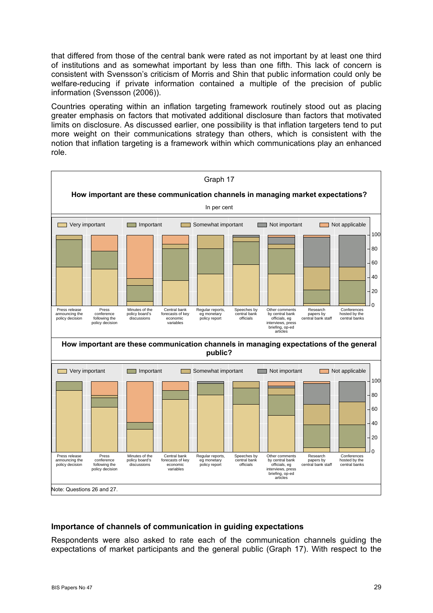<span id="page-32-0"></span>that differed from those of the central bank were rated as not important by at least one third of institutions and as somewhat important by less than one fifth. This lack of concern is consistent with Svensson's criticism of Morris and Shin that public information could only be welfare-reducing if private information contained a multiple of the precision of public information (Svensson (2006)).

Countries operating within an inflation targeting framework routinely stood out as placing greater emphasis on factors that motivated additional disclosure than factors that motivated limits on disclosure. As discussed earlier, one possibility is that inflation targeters tend to put more weight on their communications strategy than others, which is consistent with the notion that inflation targeting is a framework within which communications play an enhanced role.



#### **Importance of channels of communication in guiding expectations**

Respondents were also asked to rate each of the communication channels guiding the expectations of market participants and the general public (Graph 17). With respect to the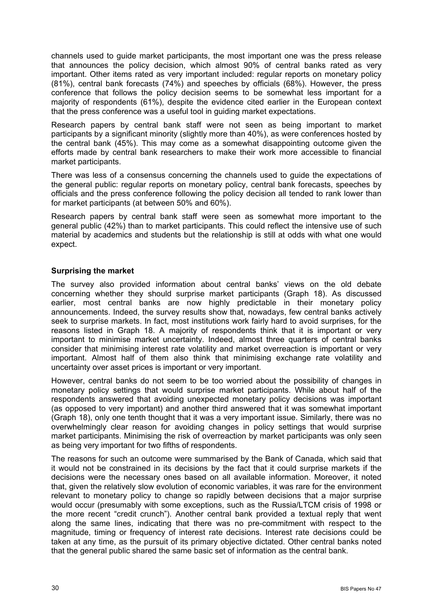<span id="page-33-0"></span>channels used to guide market participants, the most important one was the press release that announces the policy decision, which almost 90% of central banks rated as very important. Other items rated as very important included: regular reports on monetary policy (81%), central bank forecasts (74%) and speeches by officials (68%). However, the press conference that follows the policy decision seems to be somewhat less important for a majority of respondents (61%), despite the evidence cited earlier in the European context that the press conference was a useful tool in guiding market expectations.

Research papers by central bank staff were not seen as being important to market participants by a significant minority (slightly more than 40%), as were conferences hosted by the central bank (45%). This may come as a somewhat disappointing outcome given the efforts made by central bank researchers to make their work more accessible to financial market participants.

There was less of a consensus concerning the channels used to guide the expectations of the general public: regular reports on monetary policy, central bank forecasts, speeches by officials and the press conference following the policy decision all tended to rank lower than for market participants (at between 50% and 60%).

Research papers by central bank staff were seen as somewhat more important to the general public (42%) than to market participants. This could reflect the intensive use of such material by academics and students but the relationship is still at odds with what one would expect.

#### **Surprising the market**

The survey also provided information about central banks' views on the old debate concerning whether they should surprise market participants (Graph 18). As discussed earlier, most central banks are now highly predictable in their monetary policy announcements. Indeed, the survey results show that, nowadays, few central banks actively seek to surprise markets. In fact, most institutions work fairly hard to avoid surprises, for the reasons listed in Graph 18. A majority of respondents think that it is important or very important to minimise market uncertainty. Indeed, almost three quarters of central banks consider that minimising interest rate volatility and market overreaction is important or very important. Almost half of them also think that minimising exchange rate volatility and uncertainty over asset prices is important or very important.

However, central banks do not seem to be too worried about the possibility of changes in monetary policy settings that would surprise market participants. While about half of the respondents answered that avoiding unexpected monetary policy decisions was important (as opposed to very important) and another third answered that it was somewhat important (Graph 18), only one tenth thought that it was a very important issue. Similarly, there was no overwhelmingly clear reason for avoiding changes in policy settings that would surprise market participants. Minimising the risk of overreaction by market participants was only seen as being very important for two fifths of respondents.

The reasons for such an outcome were summarised by the Bank of Canada, which said that it would not be constrained in its decisions by the fact that it could surprise markets if the decisions were the necessary ones based on all available information. Moreover, it noted that, given the relatively slow evolution of economic variables, it was rare for the environment relevant to monetary policy to change so rapidly between decisions that a major surprise would occur (presumably with some exceptions, such as the Russia/LTCM crisis of 1998 or the more recent "credit crunch"). Another central bank provided a textual reply that went along the same lines, indicating that there was no pre-commitment with respect to the magnitude, timing or frequency of interest rate decisions. Interest rate decisions could be taken at any time, as the pursuit of its primary objective dictated. Other central banks noted that the general public shared the same basic set of information as the central bank.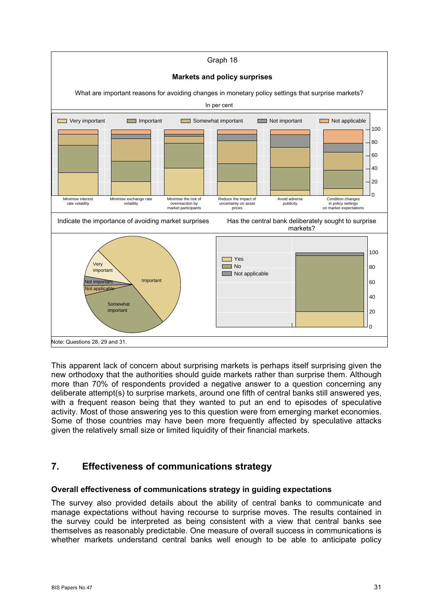<span id="page-34-0"></span>

This apparent lack of concern about surprising markets is perhaps itself surprising given the new orthodoxy that the authorities should guide markets rather than surprise them. Although more than 70% of respondents provided a negative answer to a question concerning any deliberate attempt(s) to surprise markets, around one fifth of central banks still answered yes, with a frequent reason being that they wanted to put an end to episodes of speculative activity. Most of those answering yes to this question were from emerging market economies. Some of those countries may have been more frequently affected by speculative attacks given the relatively small size or limited liquidity of their financial markets.

## **7. Effectiveness of communications strategy**

#### **Overall effectiveness of communications strategy in guiding expectations**

The survey also provided details about the ability of central banks to communicate and manage expectations without having recourse to surprise moves. The results contained in the survey could be interpreted as being consistent with a view that central banks see themselves as reasonably predictable. One measure of overall success in communications is whether markets understand central banks well enough to be able to anticipate policy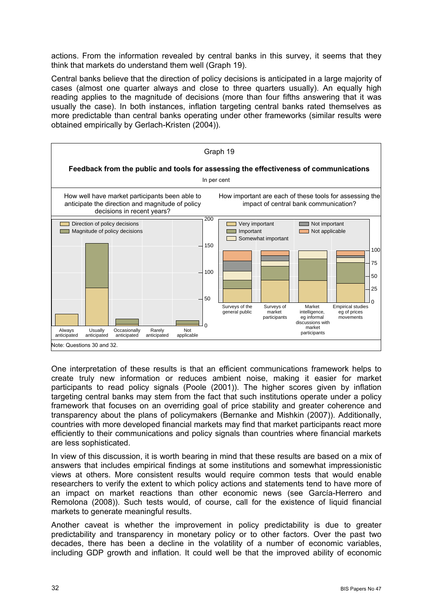actions. From the information revealed by central banks in this survey, it seems that they think that markets do understand them well (Graph 19).

Central banks believe that the direction of policy decisions is anticipated in a large majority of cases (almost one quarter always and close to three quarters usually). An equally high reading applies to the magnitude of decisions (more than four fifths answering that it was usually the case). In both instances, inflation targeting central banks rated themselves as more predictable than central banks operating under other frameworks (similar results were obtained empirically by Gerlach-Kristen (2004)).



One interpretation of these results is that an efficient communications framework helps to create truly new information or reduces ambient noise, making it easier for market participants to read policy signals (Poole (2001)). The higher scores given by inflation targeting central banks may stem from the fact that such institutions operate under a policy framework that focuses on an overriding goal of price stability and greater coherence and transparency about the plans of policymakers (Bernanke and Mishkin (2007)). Additionally, countries with more developed financial markets may find that market participants react more efficiently to their communications and policy signals than countries where financial markets are less sophisticated.

In view of this discussion, it is worth bearing in mind that these results are based on a mix of answers that includes empirical findings at some institutions and somewhat impressionistic views at others. More consistent results would require common tests that would enable researchers to verify the extent to which policy actions and statements tend to have more of an impact on market reactions than other economic news (see García-Herrero and Remolona (2008)). Such tests would, of course, call for the existence of liquid financial markets to generate meaningful results.

Another caveat is whether the improvement in policy predictability is due to greater predictability and transparency in monetary policy or to other factors. Over the past two decades, there has been a decline in the volatility of a number of economic variables, including GDP growth and inflation. It could well be that the improved ability of economic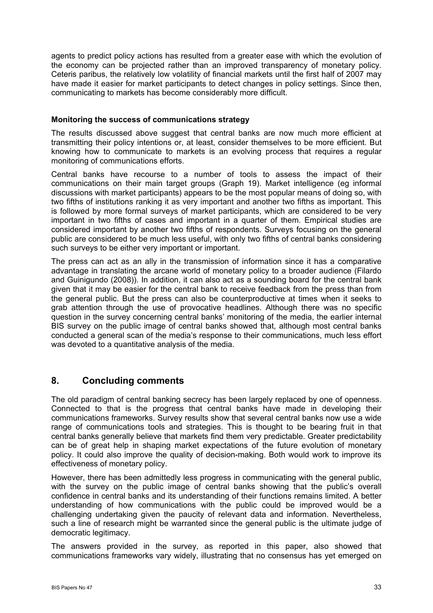<span id="page-36-0"></span>agents to predict policy actions has resulted from a greater ease with which the evolution of the economy can be projected rather than an improved transparency of monetary policy. Ceteris paribus, the relatively low volatility of financial markets until the first half of 2007 may have made it easier for market participants to detect changes in policy settings. Since then, communicating to markets has become considerably more difficult.

#### **Monitoring the success of communications strategy**

The results discussed above suggest that central banks are now much more efficient at transmitting their policy intentions or, at least, consider themselves to be more efficient. But knowing how to communicate to markets is an evolving process that requires a regular monitoring of communications efforts.

Central banks have recourse to a number of tools to assess the impact of their communications on their main target groups (Graph 19). Market intelligence (eg informal discussions with market participants) appears to be the most popular means of doing so, with two fifths of institutions ranking it as very important and another two fifths as important. This is followed by more formal surveys of market participants, which are considered to be very important in two fifths of cases and important in a quarter of them. Empirical studies are considered important by another two fifths of respondents. Surveys focusing on the general public are considered to be much less useful, with only two fifths of central banks considering such surveys to be either very important or important.

The press can act as an ally in the transmission of information since it has a comparative advantage in translating the arcane world of monetary policy to a broader audience (Filardo and Guinigundo (2008)). In addition, it can also act as a sounding board for the central bank given that it may be easier for the central bank to receive feedback from the press than from the general public. But the press can also be counterproductive at times when it seeks to grab attention through the use of provocative headlines. Although there was no specific question in the survey concerning central banks' monitoring of the media, the earlier internal BIS survey on the public image of central banks showed that, although most central banks conducted a general scan of the media's response to their communications, much less effort was devoted to a quantitative analysis of the media.

## **8. Concluding comments**

The old paradigm of central banking secrecy has been largely replaced by one of openness. Connected to that is the progress that central banks have made in developing their communications frameworks. Survey results show that several central banks now use a wide range of communications tools and strategies. This is thought to be bearing fruit in that central banks generally believe that markets find them very predictable. Greater predictability can be of great help in shaping market expectations of the future evolution of monetary policy. It could also improve the quality of decision-making. Both would work to improve its effectiveness of monetary policy.

However, there has been admittedly less progress in communicating with the general public, with the survey on the public image of central banks showing that the public's overall confidence in central banks and its understanding of their functions remains limited. A better understanding of how communications with the public could be improved would be a challenging undertaking given the paucity of relevant data and information. Nevertheless, such a line of research might be warranted since the general public is the ultimate judge of democratic legitimacy.

The answers provided in the survey, as reported in this paper, also showed that communications frameworks vary widely, illustrating that no consensus has yet emerged on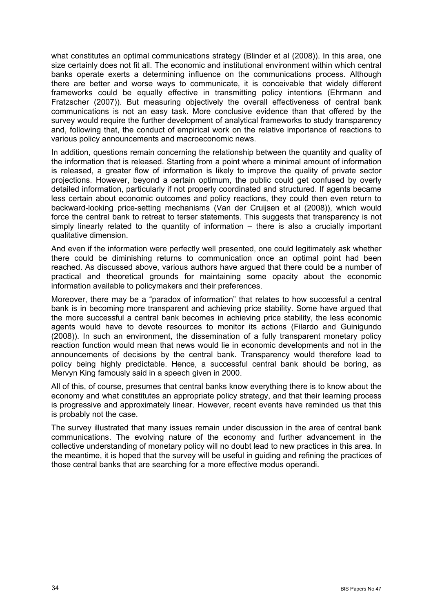what constitutes an optimal communications strategy (Blinder et al (2008)). In this area, one size certainly does not fit all. The economic and institutional environment within which central banks operate exerts a determining influence on the communications process. Although there are better and worse ways to communicate, it is conceivable that widely different frameworks could be equally effective in transmitting policy intentions (Ehrmann and Fratzscher (2007)). But measuring objectively the overall effectiveness of central bank communications is not an easy task. More conclusive evidence than that offered by the survey would require the further development of analytical frameworks to study transparency and, following that, the conduct of empirical work on the relative importance of reactions to various policy announcements and macroeconomic news.

In addition, questions remain concerning the relationship between the quantity and quality of the information that is released. Starting from a point where a minimal amount of information is released, a greater flow of information is likely to improve the quality of private sector projections. However, beyond a certain optimum, the public could get confused by overly detailed information, particularly if not properly coordinated and structured. If agents became less certain about economic outcomes and policy reactions, they could then even return to backward-looking price-setting mechanisms (Van der Cruijsen et al (2008)), which would force the central bank to retreat to terser statements. This suggests that transparency is not simply linearly related to the quantity of information – there is also a crucially important qualitative dimension.

And even if the information were perfectly well presented, one could legitimately ask whether there could be diminishing returns to communication once an optimal point had been reached. As discussed above, various authors have argued that there could be a number of practical and theoretical grounds for maintaining some opacity about the economic information available to policymakers and their preferences.

Moreover, there may be a "paradox of information" that relates to how successful a central bank is in becoming more transparent and achieving price stability. Some have argued that the more successful a central bank becomes in achieving price stability, the less economic agents would have to devote resources to monitor its actions (Filardo and Guinigundo (2008)). In such an environment, the dissemination of a fully transparent monetary policy reaction function would mean that news would lie in economic developments and not in the announcements of decisions by the central bank. Transparency would therefore lead to policy being highly predictable. Hence, a successful central bank should be boring, as Mervyn King famously said in a speech given in 2000.

All of this, of course, presumes that central banks know everything there is to know about the economy and what constitutes an appropriate policy strategy, and that their learning process is progressive and approximately linear. However, recent events have reminded us that this is probably not the case.

The survey illustrated that many issues remain under discussion in the area of central bank communications. The evolving nature of the economy and further advancement in the collective understanding of monetary policy will no doubt lead to new practices in this area. In the meantime, it is hoped that the survey will be useful in guiding and refining the practices of those central banks that are searching for a more effective modus operandi.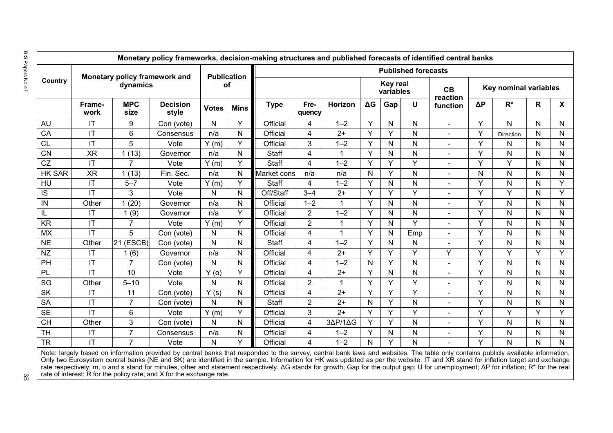|               | <b>Publication</b>                        |                    |                          |              | <b>Published forecasts</b> |             |                         |              |                              |     |              |                      |                       |           |              |                  |
|---------------|-------------------------------------------|--------------------|--------------------------|--------------|----------------------------|-------------|-------------------------|--------------|------------------------------|-----|--------------|----------------------|-----------------------|-----------|--------------|------------------|
| Country       | Monetary policy framework and<br>dynamics |                    |                          | <b>of</b>    |                            |             |                         |              | <b>Key real</b><br>variables |     |              | CB                   | Key nominal variables |           |              |                  |
|               | Frame-<br>work                            | <b>MPC</b><br>size | <b>Decision</b><br>style | <b>Votes</b> | <b>Mins</b>                | <b>Type</b> | Fre-<br>quency          | Horizon      | $\Delta G$                   | Gap | U            | reaction<br>function | $\Delta P$            | $R^*$     | R            | $\boldsymbol{X}$ |
| <b>AU</b>     | ΙT                                        | 9                  | Con (vote)               | N            | Y                          | Official    | 4                       | $1 - 2$      | Y                            | N   | N            | $\blacksquare$       | Y                     | N         | $\mathsf{N}$ |                  |
| CA            | IT                                        | 6                  | Consensus                | n/a          | ${\sf N}$                  | Official    | $\overline{\mathbf{4}}$ | $2+$         | Y                            | Y   | ${\sf N}$    |                      | Υ                     | Direction | ${\sf N}$    |                  |
| <b>CL</b>     | IT                                        | 5                  | Vote                     | Y(m)         | Y                          | Official    | 3                       | $1 - 2$      | Y                            | N   | N            |                      | Y                     | N         | N            |                  |
| <b>CN</b>     | <b>XR</b>                                 | 1(13)              | Governor                 | n/a          | $\mathsf{N}$               | Staff       | $\overline{4}$          |              | Y                            | N   | ${\sf N}$    |                      | Y                     | N         | ${\sf N}$    |                  |
| <b>CZ</b>     | IT                                        | 7                  | Vote                     | Y(m)         | Y                          | Staff       | 4                       | $1 - 2$      | Y                            | Y   | Y            |                      | Y                     | Y         | $\mathsf{N}$ |                  |
| <b>HK SAR</b> | <b>XR</b>                                 | 1(13)              | Fin. Sec.                | n/a          | N                          | Market cons | n/a                     | n/a          | N                            | Y   | ${\sf N}$    |                      | $\mathsf{N}$          | N         | ${\sf N}$    |                  |
| <b>HU</b>     | IT                                        | $5 - 7$            | Vote                     | Y(m)         | Y                          | Staff       | 4                       | $1 - 2$      | Y                            | N   | N            |                      | Y                     | N         | $\mathsf{N}$ |                  |
| IS            | IT                                        | 3                  | Vote                     | N            | N                          | Off/Staff   | $3 - 4$                 | $2+$         | Y                            | Y   | Y            |                      | Υ                     | Ÿ         | ${\sf N}$    |                  |
| IN            | Other                                     | 1(20)              | Governor                 | n/a          | N                          | Official    | $1 - 2$                 | $\mathbf{1}$ | Y                            | N   | ${\sf N}$    |                      | Υ                     | N         | $\mathsf{N}$ |                  |
| П.            | IT                                        | 1(9)               | Governor                 | n/a          | Y                          | Official    | $\overline{2}$          | $1 - 2$      | Y                            | N   | $\mathsf{N}$ |                      | Y                     | N         | $\mathsf{N}$ |                  |
| <b>KR</b>     | IT                                        | $\overline{7}$     | Vote                     | Y(m)         | Y                          | Official    | $\overline{2}$          | $\mathbf{1}$ | Y                            | N   | Y            |                      | Y                     | N         | $\mathsf{N}$ |                  |
| <b>MX</b>     | IT                                        | 5                  | Con (vote)               | N            | $\mathsf{N}$               | Official    | $\overline{4}$          | $\mathbf{1}$ | Y                            | N   | Emp          |                      | Y                     | N         | $\mathsf{N}$ |                  |
| <b>NE</b>     | Other                                     | $21$ (ESCB)        | Con (vote)               | N            | N                          | Staff       | 4                       | $1 - 2$      | Y                            | N   | ${\sf N}$    |                      | Υ                     | N         | N            |                  |
| <b>NZ</b>     | IT                                        | 1(6)               | Governor                 | n/a          | $\mathsf{N}$               | Official    | $\overline{4}$          | $2+$         | Y                            | Y   | Y            | Y                    | Y                     | Y         | Y            |                  |
| PH            | IT                                        | $\overline{7}$     | Con (vote)               | N            | $\mathsf{N}$               | Official    | 4                       | $1 - 2$      | N                            | Y   | $\mathsf{N}$ |                      | Y                     | N         | N            |                  |
| PL            | IT                                        | 10                 | Vote                     | Y(0)         | Y                          | Official    | $\overline{4}$          | $2+$         | Y                            | N   | $\mathsf{N}$ |                      | Y                     | N         | $\mathsf{N}$ |                  |
| SG            | Other                                     | $5 - 10$           | Vote                     | N            | $\mathsf{N}$               | Official    | $\overline{2}$          | $\mathbf 1$  | Y                            | Y   | Y            | $\sim$               | Y                     | N         | $\mathsf{N}$ |                  |
| <b>SK</b>     | IT                                        | 11                 | Con (vote)               | Y(s)         | $\mathsf{N}$               | Official    | $\overline{4}$          | $2+$         | Y                            | Y   | Y            |                      | Y                     | N         | $\mathsf{N}$ |                  |
| <b>SA</b>     | IT                                        | $\overline{7}$     | Con (vote)               | $\mathsf{N}$ | N                          | Staff       | $\overline{2}$          | $2+$         | N                            | Y   | $\mathsf{N}$ |                      | Y                     | N         | $\mathsf{N}$ |                  |
| <b>SE</b>     | IT                                        | $6\phantom{1}$     | Vote                     | Y(m)         | Y                          | Official    | 3                       | $2+$         | Y                            | Y   | Y            |                      | Y                     | Y         | Y            |                  |
| <b>CH</b>     | Other                                     | $\mathbf{3}$       | Con (vote)               | N            | $\mathsf{N}$               | Official    | $\overline{4}$          | 3AP/1AG      | Y                            | Y   | $\mathsf{N}$ | $\blacksquare$       | Y                     | N         | $\mathsf{N}$ |                  |
| <b>TH</b>     | IT                                        | $\overline{7}$     | Consensus                | n/a          | $\mathsf{N}$               | Official    | $\overline{4}$          | $1 - 2$      | Y                            | N   | $\mathsf{N}$ | $\blacksquare$       | Y                     | N         | $\mathsf{N}$ |                  |
| <b>TR</b>     | IT                                        | $\overline{7}$     | Vote                     | N            | Y                          | Official    | 4                       | $1 - 2$      | N                            | Y   | $\mathsf{N}$ |                      | Y                     | N         | N            |                  |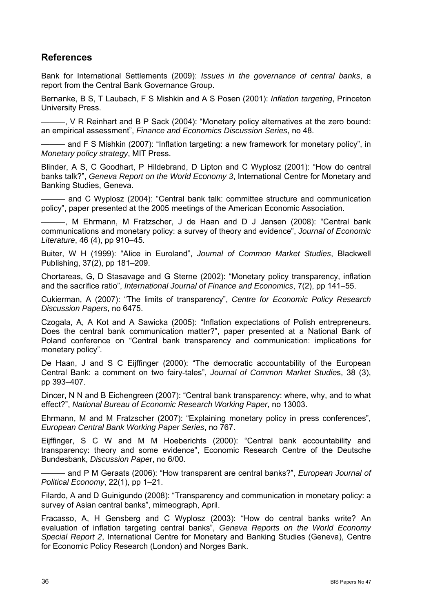## <span id="page-39-0"></span>**References**

Bank for International Settlements (2009): *Issues in the governance of central banks*, a report from the Central Bank Governance Group.

Bernanke, B S, T Laubach, F S Mishkin and A S Posen (2001): *Inflation targeting*, Princeton University Press.

———, V R Reinhart and B P Sack (2004): "Monetary policy alternatives at the zero bound: an empirical assessment", *Finance and Economics Discussion Series*, no 48.

- and F S Mishkin (2007): "Inflation targeting: a new framework for monetary policy", in *Monetary policy strategy*, MIT Press.

Blinder, A S, [C Goodhart](http://www.amazon.com/exec/obidos/search-handle-url/ref=ntt_athr_dp_sr_2?%5Fencoding=UTF8&search-type=ss&index=books&field-author=Charles%20Goodhart), [P Hildebrand,](http://www.amazon.com/exec/obidos/search-handle-url/ref=ntt_athr_dp_sr_3?%5Fencoding=UTF8&search-type=ss&index=books&field-author=Philipp%20Hildebrand) [D Lipton](http://www.amazon.com/exec/obidos/search-handle-url/ref=ntt_athr_dp_sr_4?%5Fencoding=UTF8&search-type=ss&index=books&field-author=David%20Lipton) and [C Wyplosz](http://www.amazon.com/exec/obidos/search-handle-url/ref=ntt_athr_dp_sr_5?%5Fencoding=UTF8&search-type=ss&index=books&field-author=Charles%20Wyplosz) (2001): "How do central banks talk?", *Geneva Report on the World Economy 3*, International Centre for Monetary and Banking Studies, Geneva.

——— and [C Wyplosz](http://www.amazon.com/exec/obidos/search-handle-url/ref=ntt_athr_dp_sr_5?%5Fencoding=UTF8&search-type=ss&index=books&field-author=Charles%20Wyplosz) (2004): "Central bank talk: committee structure and communication policy", paper presented at the 2005 meetings of the American Economic Association.

———, M Ehrmann, M Fratzscher, J de Haan and D J Jansen (2008): "Central bank communications and monetary policy: a survey of theory and evidence", *Journal of Economic Literature*, 46 (4), pp 910–45.

Buiter, W H (1999): "Alice in Euroland", *Journal of Common Market Studies*, Blackwell Publishing, 37(2), pp 181–209.

Chortareas, G, D Stasavage and G Sterne (2002): "Monetary policy transparency, inflation and the sacrifice ratio", *International Journal of Finance and Economics*, 7(2), pp 141–55.

Cukierman, A (2007): "The limits of transparency", *Centre for Economic Policy Research Discussion Papers*, no 6475.

Czogala, A, A Kot and A Sawicka (2005): "Inflation expectations of Polish entrepreneurs. Does the central bank communication matter?", paper presented at a National Bank of Poland conference on "Central bank transparency and communication: implications for monetary policy".

De Haan, J and S C Eijffinger (2000): "The democratic accountability of the European Central Bank: a comment on two fairy-tales", *Journal of Common Market Studie*s, 38 (3), pp 393–407.

Dincer, N N and B Eichengreen (2007): "Central bank transparency: where, why, and to what effect?", *National Bureau of Economic Research Working Paper*, no 13003.

Ehrmann, M and M Fratzscher (2007): "Explaining monetary policy in press conferences", *European Central Bank Working Paper Series*, no 767.

Eijffinger, S C W and M M Hoeberichts (2000): "Central bank accountability and transparency: theory and some evidence", Economic Research Centre of the Deutsche Bundesbank, *Discussion Pape*r, no 6/00.

——— and P M Geraats (2006): "How transparent are central banks?", *European Journal of Political Economy*, 22(1), pp 1–21.

Filardo, A and D Guinigundo (2008): "Transparency and communication in monetary policy: a survey of Asian central banks", mimeograph, April.

Fracasso, A, H Gensberg and C Wyplosz (2003): "How do central banks write? An evaluation of inflation targeting central banks", *Geneva Reports on the World Economy Special Report 2*, International Centre for Monetary and Banking Studies (Geneva), Centre for Economic Policy Research (London) and Norges Bank.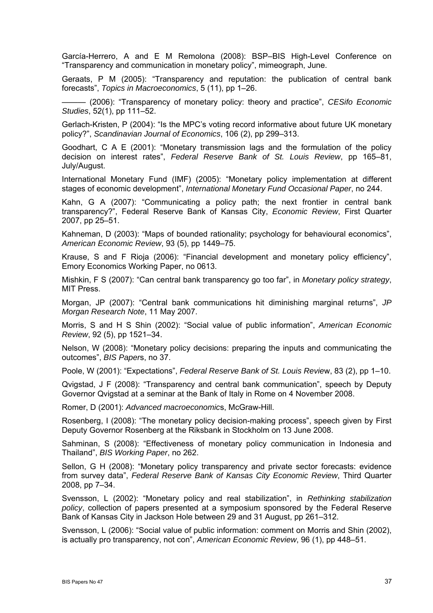García-Herrero, A and E M Remolona (2008): BSP–BIS High-Level Conference on "Transparency and communication in monetary policy", mimeograph, June.

Geraats, P M (2005): "Transparency and reputation: the publication of central bank forecasts", *Topics in Macroeconomics*, 5 (11), pp 1–26.

——— (2006): "Transparency of monetary policy: theory and practice", *CESifo Economic Studies*, 52(1), pp 111–52.

Gerlach-Kristen, P (2004): "Is the MPC's voting record informative about future UK monetary policy?", *Scandinavian Journal of Economics*, 106 (2), pp 299–313.

Goodhart, C A E (2001): "Monetary transmission lags and the formulation of the policy decision on interest rates", *Federal Reserve Bank of St. Louis Review*, pp 165–81, July/August.

International Monetary Fund (IMF) (2005): "Monetary policy implementation at different stages of economic development", *International Monetary Fund Occasional Paper*, no 244.

Kahn, G A (2007): "Communicating a policy path; the next frontier in central bank transparency?", Federal Reserve Bank of Kansas City, *Economic Review*, First Quarter 2007, pp 25–51.

Kahneman, D (2003): "Maps of bounded rationality; psychology for behavioural economics", *American Economic Review*, 93 (5), pp 1449–75.

Krause, S and F Rioja (2006): "Financial development and monetary policy efficiency", Emory Economics Working Paper, no 0613.

Mishkin, F S (2007): "Can central bank transparency go too far", in *Monetary policy strategy*, MIT Press.

Morgan, JP (2007): "Central bank communications hit diminishing marginal returns", *JP Morgan Research Note*, 11 May 2007.

Morris, S and H S Shin (2002): "Social value of public information", *American Economic Review*, 92 (5), pp 1521–34.

Nelson, W (2008): "Monetary policy decisions: preparing the inputs and communicating the outcomes", *BIS Paper*s, no 37.

Poole, W (2001): "Expectations", *Federal Reserve Bank of St. Louis Revie*w, 83 (2), pp 1–10.

Qvigstad, J F (2008): "Transparency and central bank communication", speech by Deputy Governor Qvigstad at a seminar at the Bank of Italy in Rome on 4 November 2008.

Romer, D (2001): *Advanced macroeconomic*s, McGraw-Hill.

Rosenberg, I (2008): "The monetary policy decision-making process", speech given by First Deputy Governor Rosenberg at the Riksbank in Stockholm on 13 June 2008.

Sahminan, S (2008): "Effectiveness of monetary policy communication in Indonesia and Thailand", *BIS Working Paper*, no 262.

Sellon, G H (2008): "Monetary policy transparency and private sector forecasts: evidence from survey data", *Federal Reserve Bank of Kansas City Economic Review*, Third Quarter 2008, pp 7–34.

Svensson, L (2002): "Monetary policy and real stabilization", in *Rethinking stabilization policy*, collection of papers presented at a symposium sponsored by the Federal Reserve Bank of Kansas City in Jackson Hole between 29 and 31 August, pp 261–312.

Svensson, L (2006): "Social value of public information: comment on Morris and Shin (2002), is actually pro transparency, not con", *American Economic Review*, 96 (1), pp 448–51.